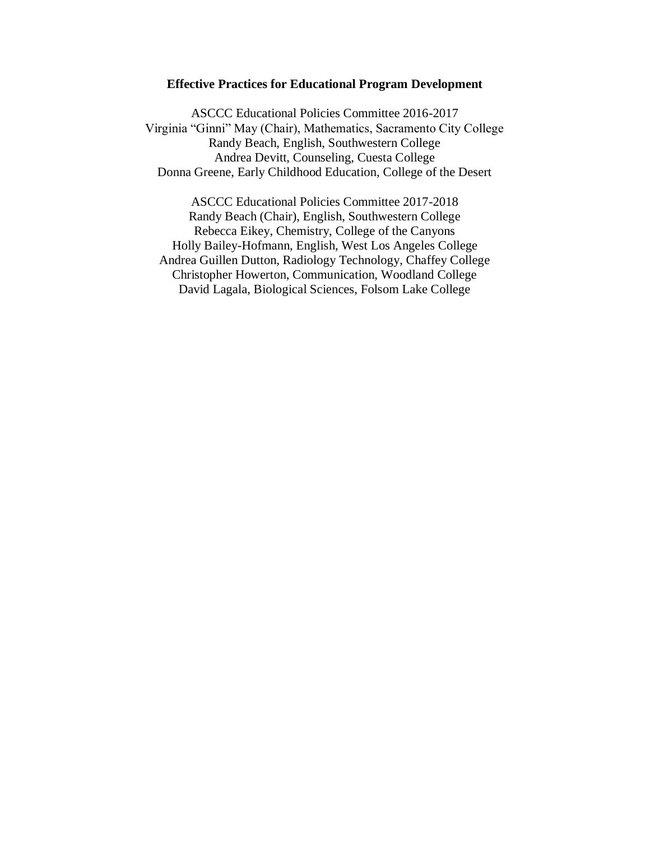#### **Effective Practices for Educational Program Development**

ASCCC Educational Policies Committee 2016-2017 Virginia "Ginni" May (Chair), Mathematics, Sacramento City College Randy Beach, English, Southwestern College Andrea Devitt, Counseling, Cuesta College Donna Greene, Early Childhood Education, College of the Desert

ASCCC Educational Policies Committee 2017-2018 Randy Beach (Chair), English, Southwestern College Rebecca Eikey, Chemistry, College of the Canyons Holly Bailey-Hofmann, English, West Los Angeles College Andrea Guillen Dutton, Radiology Technology, Chaffey College Christopher Howerton, Communication, Woodland College David Lagala, Biological Sciences, Folsom Lake College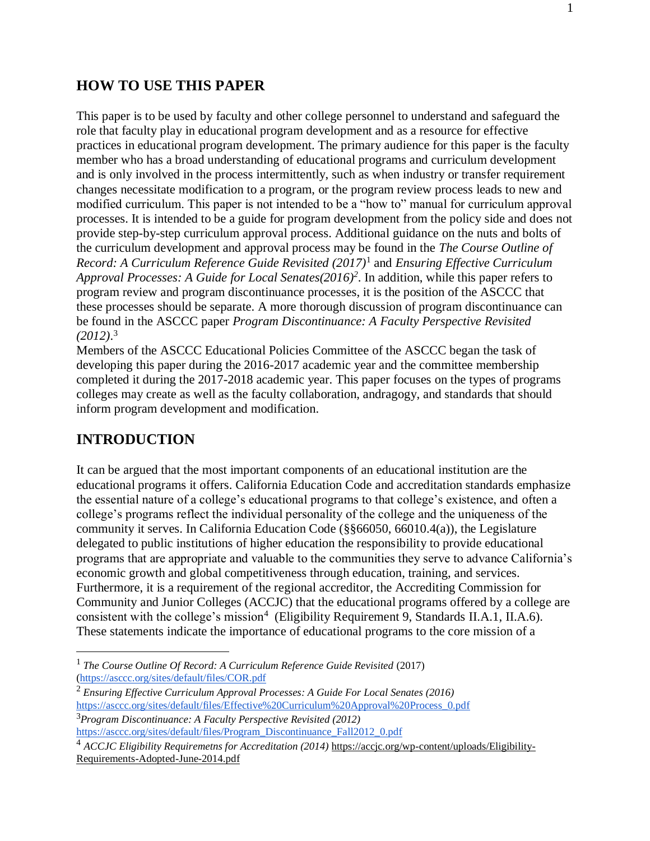## **HOW TO USE THIS PAPER**

This paper is to be used by faculty and other college personnel to understand and safeguard the role that faculty play in educational program development and as a resource for effective practices in educational program development. The primary audience for this paper is the faculty member who has a broad understanding of educational programs and curriculum development and is only involved in the process intermittently, such as when industry or transfer requirement changes necessitate modification to a program, or the program review process leads to new and modified curriculum. This paper is not intended to be a "how to" manual for curriculum approval processes. It is intended to be a guide for program development from the policy side and does not provide step-by-step curriculum approval process. Additional guidance on the nuts and bolts of the curriculum development and approval process may be found in the *The Course Outline of Record: A Curriculum Reference Guide Revisited (2017)*<sup>1</sup> and *Ensuring Effective Curriculum Approval Processes: A Guide for Local Senates(2016)<sup>2</sup>* . In addition, while this paper refers to program review and program discontinuance processes, it is the position of the ASCCC that these processes should be separate. A more thorough discussion of program discontinuance can be found in the ASCCC paper *Program Discontinuance: A Faculty Perspective Revisited (2012)*. 3

Members of the ASCCC Educational Policies Committee of the ASCCC began the task of developing this paper during the 2016-2017 academic year and the committee membership completed it during the 2017-2018 academic year. This paper focuses on the types of programs colleges may create as well as the faculty collaboration, andragogy, and standards that should inform program development and modification.

# **INTRODUCTION**

 $\overline{a}$ 

It can be argued that the most important components of an educational institution are the educational programs it offers. California Education Code and accreditation standards emphasize the essential nature of a college's educational programs to that college's existence, and often a college's programs reflect the individual personality of the college and the uniqueness of the community it serves. In California Education Code (§§66050, 66010.4(a)), the Legislature delegated to public institutions of higher education the responsibility to provide educational programs that are appropriate and valuable to the communities they serve to advance California's economic growth and global competitiveness through education, training, and services. Furthermore, it is a requirement of the regional accreditor, the Accrediting Commission for Community and Junior Colleges (ACCJC) that the educational programs offered by a college are consistent with the college's mission<sup>4</sup> (Eligibility Requirement 9, Standards II.A.1, II.A.6). These statements indicate the importance of educational programs to the core mission of a

<sup>1</sup> *The Course Outline Of Record: A Curriculum Reference Guide Revisited* (2017) [\(https://asccc.org/sites/default/files/COR.pdf](https://asccc.org/sites/default/files/COR.pdf)

<sup>2</sup> *Ensuring Effective Curriculum Approval Processes: A Guide For Local Senates (2016)*  [https://asccc.org/sites/default/files/Effective%20Curriculum%20Approval%20Process\\_0.pdf](https://asccc.org/sites/default/files/Effective%20Curriculum%20Approval%20Process_0.pdf) <sup>3</sup>*Program Discontinuance: A Faculty Perspective Revisited (2012)*

[https://asccc.org/sites/default/files/Program\\_Discontinuance\\_Fall2012\\_0.pdf](https://asccc.org/sites/default/files/Program_Discontinuance_Fall2012_0.pdf)

<sup>4</sup> *ACCJC Eligibility Requiremetns for Accreditation (2014)* [https://accjc.org/wp-content/uploads/Eligibility-](https://accjc.org/wp-content/uploads/Eligibility-Requirements-Adopted-June-2014.pdf)[Requirements-Adopted-June-2014.pdf](https://accjc.org/wp-content/uploads/Eligibility-Requirements-Adopted-June-2014.pdf)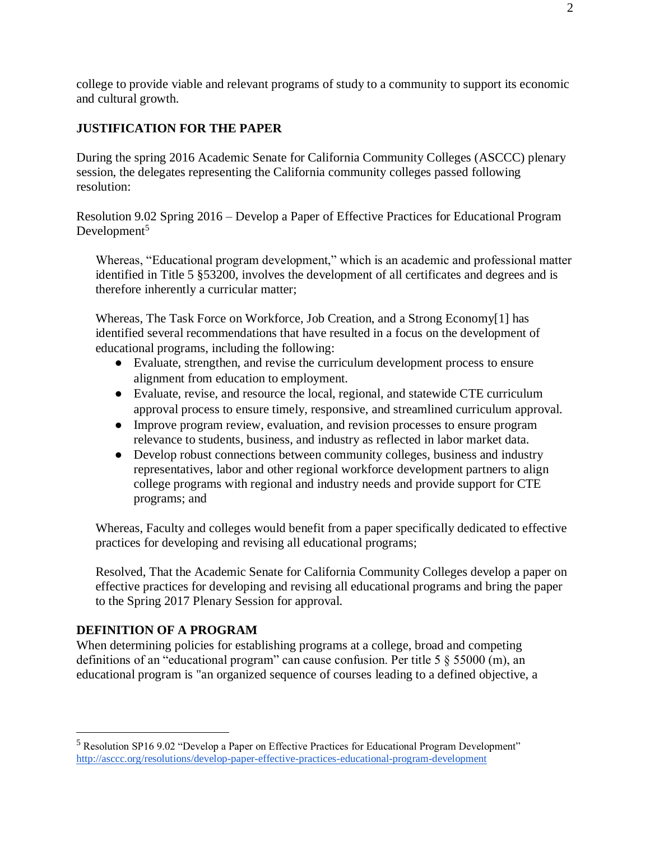college to provide viable and relevant programs of study to a community to support its economic and cultural growth.

### **JUSTIFICATION FOR THE PAPER**

During the spring 2016 Academic Senate for California Community Colleges (ASCCC) plenary session, the delegates representing the California community colleges passed following resolution:

Resolution 9.02 Spring 2016 – Develop a Paper of Effective Practices for Educational Program Development $5$ 

Whereas, "Educational program development," which is an academic and professional matter identified in Title 5 §53200, involves the development of all certificates and degrees and is therefore inherently a curricular matter;

Whereas, The Task Force on Workforce, Job Creation, and a Strong Economy[1] has identified several recommendations that have resulted in a focus on the development of educational programs, including the following:

- Evaluate, strengthen, and revise the curriculum development process to ensure alignment from education to employment.
- Evaluate, revise, and resource the local, regional, and statewide CTE curriculum approval process to ensure timely, responsive, and streamlined curriculum approval.
- Improve program review, evaluation, and revision processes to ensure program relevance to students, business, and industry as reflected in labor market data.
- Develop robust connections between community colleges, business and industry representatives, labor and other regional workforce development partners to align college programs with regional and industry needs and provide support for CTE programs; and

Whereas, Faculty and colleges would benefit from a paper specifically dedicated to effective practices for developing and revising all educational programs;

Resolved, That the Academic Senate for California Community Colleges develop a paper on effective practices for developing and revising all educational programs and bring the paper to the Spring 2017 Plenary Session for approval.

## **DEFINITION OF A PROGRAM**

 $\overline{a}$ 

When determining policies for establishing programs at a college, broad and competing definitions of an "educational program" can cause confusion. Per title 5 § 55000 (m), an educational program is "an organized sequence of courses leading to a defined objective, a

<sup>5</sup> Resolution SP16 9.02 "Develop a Paper on Effective Practices for Educational Program Development" <http://asccc.org/resolutions/develop-paper-effective-practices-educational-program-development>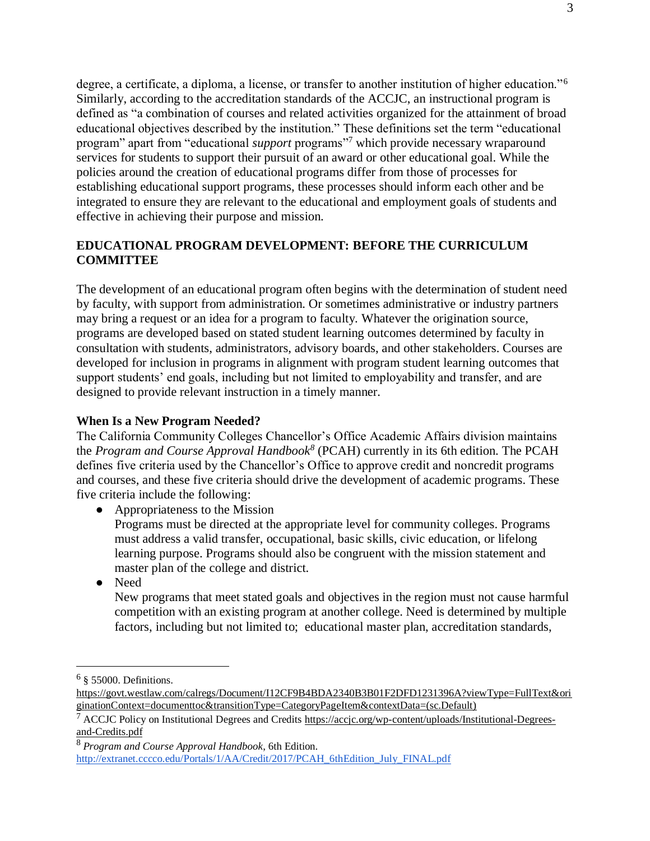degree, a certificate, a diploma, a license, or transfer to another institution of higher education."<sup>6</sup> Similarly, according to the accreditation standards of the ACCJC, an instructional program is defined as "a combination of courses and related activities organized for the attainment of broad educational objectives described by the institution." These definitions set the term "educational program" apart from "educational *support* programs"<sup>7</sup> which provide necessary wraparound services for students to support their pursuit of an award or other educational goal. While the policies around the creation of educational programs differ from those of processes for establishing educational support programs, these processes should inform each other and be integrated to ensure they are relevant to the educational and employment goals of students and effective in achieving their purpose and mission.

## **EDUCATIONAL PROGRAM DEVELOPMENT: BEFORE THE CURRICULUM COMMITTEE**

The development of an educational program often begins with the determination of student need by faculty, with support from administration. Or sometimes administrative or industry partners may bring a request or an idea for a program to faculty. Whatever the origination source, programs are developed based on stated student learning outcomes determined by faculty in consultation with students, administrators, advisory boards, and other stakeholders. Courses are developed for inclusion in programs in alignment with program student learning outcomes that support students' end goals, including but not limited to employability and transfer, and are designed to provide relevant instruction in a timely manner.

## **When Is a New Program Needed?**

The California Community Colleges Chancellor's Office Academic Affairs division maintains the *Program and Course Approval Handbook<sup>8</sup>* (PCAH) currently in its 6th edition. The PCAH defines five criteria used by the Chancellor's Office to approve credit and noncredit programs and courses, and these five criteria should drive the development of academic programs. These five criteria include the following:

- Appropriateness to the Mission
	- Programs must be directed at the appropriate level for community colleges. Programs must address a valid transfer, occupational, basic skills, civic education, or lifelong learning purpose. Programs should also be congruent with the mission statement and master plan of the college and district.
- Need

New programs that meet stated goals and objectives in the region must not cause harmful competition with an existing program at another college. Need is determined by multiple factors, including but not limited to; educational master plan, accreditation standards,

 $\overline{a}$ 

 $6 \S$  55000. Definitions.

[https://govt.westlaw.com/calregs/Document/I12CF9B4BDA2340B3B01F2DFD1231396A?viewType=FullText&ori](https://govt.westlaw.com/calregs/Document/I12CF9B4BDA2340B3B01F2DFD1231396A?viewType=FullText&originationContext=documenttoc&transitionType=CategoryPageItem&contextData=(sc.Default)) [ginationContext=documenttoc&transitionType=CategoryPageItem&contextData=\(sc.Default\)](https://govt.westlaw.com/calregs/Document/I12CF9B4BDA2340B3B01F2DFD1231396A?viewType=FullText&originationContext=documenttoc&transitionType=CategoryPageItem&contextData=(sc.Default))

 $^7$  ACCJC Policy on Institutional Degrees and Credits [https://accjc.org/wp-content/uploads/Institutional-Degrees](https://accjc.org/wp-content/uploads/Institutional-Degrees-and-Credits.pdf)[and-Credits.pdf](https://accjc.org/wp-content/uploads/Institutional-Degrees-and-Credits.pdf)

<sup>8</sup> *Program and Course Approval Handbook*, 6th Edition.

[http://extranet.cccco.edu/Portals/1/AA/Credit/2017/PCAH\\_6thEdition\\_July\\_FINAL.pdf](http://extranet.cccco.edu/Portals/1/AA/Credit/2017/PCAH_6thEdition_July_FINAL.pdf)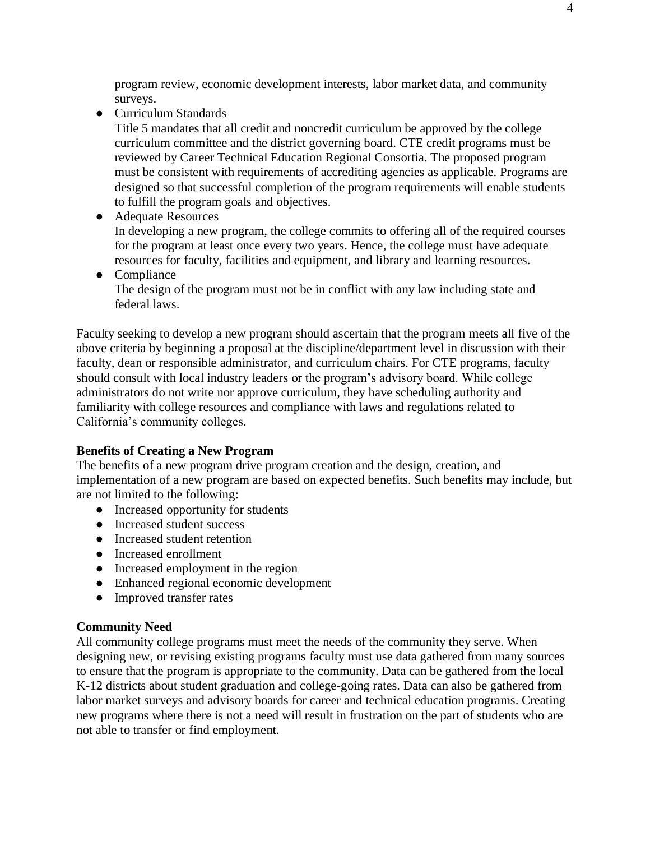program review, economic development interests, labor market data, and community surveys.

● Curriculum Standards

Title 5 mandates that all credit and noncredit curriculum be approved by the college curriculum committee and the district governing board. CTE credit programs must be reviewed by Career Technical Education Regional Consortia. The proposed program must be consistent with requirements of accrediting agencies as applicable. Programs are designed so that successful completion of the program requirements will enable students to fulfill the program goals and objectives.

● Adequate Resources

In developing a new program, the college commits to offering all of the required courses for the program at least once every two years. Hence, the college must have adequate resources for faculty, facilities and equipment, and library and learning resources.

● Compliance The design of the program must not be in conflict with any law including state and federal laws.

Faculty seeking to develop a new program should ascertain that the program meets all five of the above criteria by beginning a proposal at the discipline/department level in discussion with their faculty, dean or responsible administrator, and curriculum chairs. For CTE programs, faculty should consult with local industry leaders or the program's advisory board. While college administrators do not write nor approve curriculum, they have scheduling authority and familiarity with college resources and compliance with laws and regulations related to California's community colleges.

## **Benefits of Creating a New Program**

The benefits of a new program drive program creation and the design, creation, and implementation of a new program are based on expected benefits. Such benefits may include, but are not limited to the following:

- Increased opportunity for students
- Increased student success
- Increased student retention
- Increased enrollment
- Increased employment in the region
- Enhanced regional economic development
- Improved transfer rates

## **Community Need**

All community college programs must meet the needs of the community they serve. When designing new, or revising existing programs faculty must use data gathered from many sources to ensure that the program is appropriate to the community. Data can be gathered from the local K-12 districts about student graduation and college-going rates. Data can also be gathered from labor market surveys and advisory boards for career and technical education programs. Creating new programs where there is not a need will result in frustration on the part of students who are not able to transfer or find employment.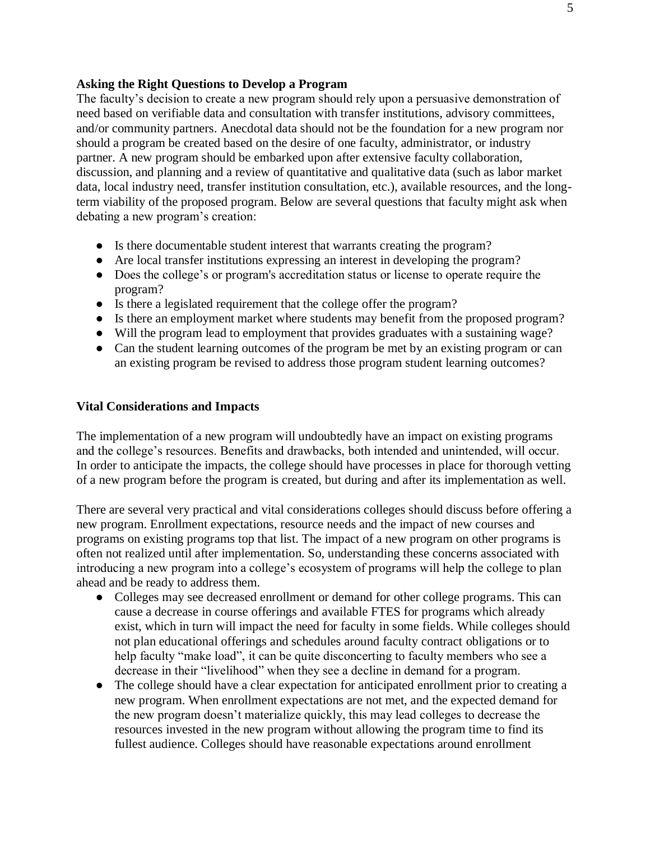#### **Asking the Right Questions to Develop a Program**

The faculty's decision to create a new program should rely upon a persuasive demonstration of need based on verifiable data and consultation with transfer institutions, advisory committees, and/or community partners. Anecdotal data should not be the foundation for a new program nor should a program be created based on the desire of one faculty, administrator, or industry partner. A new program should be embarked upon after extensive faculty collaboration, discussion, and planning and a review of quantitative and qualitative data (such as labor market data, local industry need, transfer institution consultation, etc.), available resources, and the longterm viability of the proposed program. Below are several questions that faculty might ask when debating a new program's creation:

- Is there documentable student interest that warrants creating the program?
- Are local transfer institutions expressing an interest in developing the program?
- Does the college's or program's accreditation status or license to operate require the program?
- Is there a legislated requirement that the college offer the program?
- Is there an employment market where students may benefit from the proposed program?
- Will the program lead to employment that provides graduates with a sustaining wage?
- Can the student learning outcomes of the program be met by an existing program or can an existing program be revised to address those program student learning outcomes?

#### **Vital Considerations and Impacts**

The implementation of a new program will undoubtedly have an impact on existing programs and the college's resources. Benefits and drawbacks, both intended and unintended, will occur. In order to anticipate the impacts, the college should have processes in place for thorough vetting of a new program before the program is created, but during and after its implementation as well.

There are several very practical and vital considerations colleges should discuss before offering a new program. Enrollment expectations, resource needs and the impact of new courses and programs on existing programs top that list. The impact of a new program on other programs is often not realized until after implementation. So, understanding these concerns associated with introducing a new program into a college's ecosystem of programs will help the college to plan ahead and be ready to address them.

- Colleges may see decreased enrollment or demand for other college programs. This can cause a decrease in course offerings and available FTES for programs which already exist, which in turn will impact the need for faculty in some fields. While colleges should not plan educational offerings and schedules around faculty contract obligations or to help faculty "make load", it can be quite disconcerting to faculty members who see a decrease in their "livelihood" when they see a decline in demand for a program.
- The college should have a clear expectation for anticipated enrollment prior to creating a new program. When enrollment expectations are not met, and the expected demand for the new program doesn't materialize quickly, this may lead colleges to decrease the resources invested in the new program without allowing the program time to find its fullest audience. Colleges should have reasonable expectations around enrollment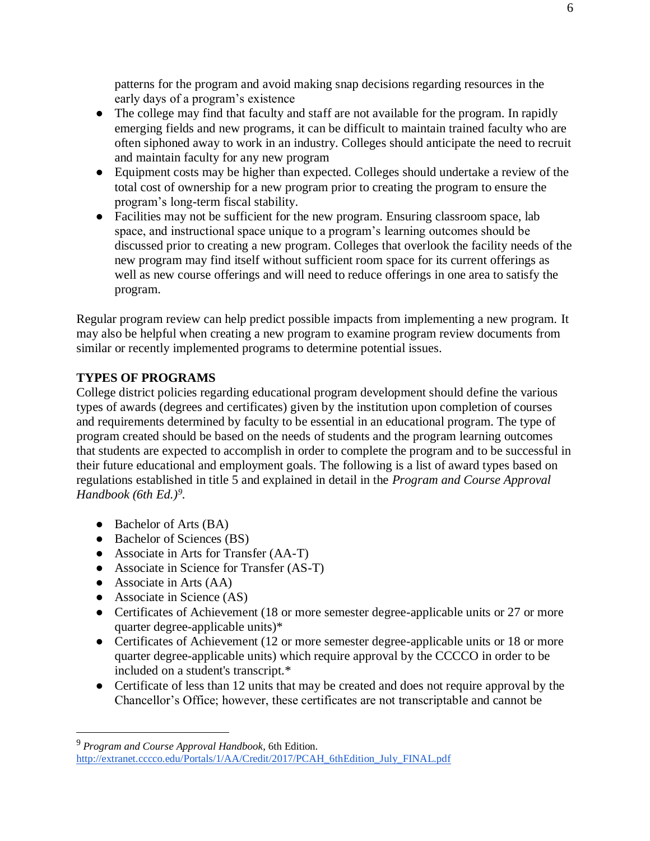patterns for the program and avoid making snap decisions regarding resources in the early days of a program's existence

- The college may find that faculty and staff are not available for the program. In rapidly emerging fields and new programs, it can be difficult to maintain trained faculty who are often siphoned away to work in an industry. Colleges should anticipate the need to recruit and maintain faculty for any new program
- Equipment costs may be higher than expected. Colleges should undertake a review of the total cost of ownership for a new program prior to creating the program to ensure the program's long-term fiscal stability.
- Facilities may not be sufficient for the new program. Ensuring classroom space, lab space, and instructional space unique to a program's learning outcomes should be discussed prior to creating a new program. Colleges that overlook the facility needs of the new program may find itself without sufficient room space for its current offerings as well as new course offerings and will need to reduce offerings in one area to satisfy the program.

Regular program review can help predict possible impacts from implementing a new program. It may also be helpful when creating a new program to examine program review documents from similar or recently implemented programs to determine potential issues.

## **TYPES OF PROGRAMS**

College district policies regarding educational program development should define the various types of awards (degrees and certificates) given by the institution upon completion of courses and requirements determined by faculty to be essential in an educational program. The type of program created should be based on the needs of students and the program learning outcomes that students are expected to accomplish in order to complete the program and to be successful in their future educational and employment goals. The following is a list of award types based on regulations established in title 5 and explained in detail in the *Program and Course Approval Handbook (6th Ed.)<sup>9</sup> .*

- Bachelor of Arts (BA)
- Bachelor of Sciences (BS)
- Associate in Arts for Transfer (AA-T)
- Associate in Science for Transfer (AS-T)
- $\bullet$  Associate in Arts (AA)

 $\overline{a}$ 

- Associate in Science (AS)
- Certificates of Achievement (18 or more semester degree-applicable units or 27 or more quarter degree-applicable units)\*
- Certificates of Achievement (12 or more semester degree-applicable units or 18 or more quarter degree-applicable units) which require approval by the CCCCO in order to be included on a student's transcript.\*
- Certificate of less than 12 units that may be created and does not require approval by the Chancellor's Office; however, these certificates are not transcriptable and cannot be

<sup>9</sup> *Program and Course Approval Handbook*, 6th Edition. [http://extranet.cccco.edu/Portals/1/AA/Credit/2017/PCAH\\_6thEdition\\_July\\_FINAL.pdf](http://extranet.cccco.edu/Portals/1/AA/Credit/2017/PCAH_6thEdition_July_FINAL.pdf)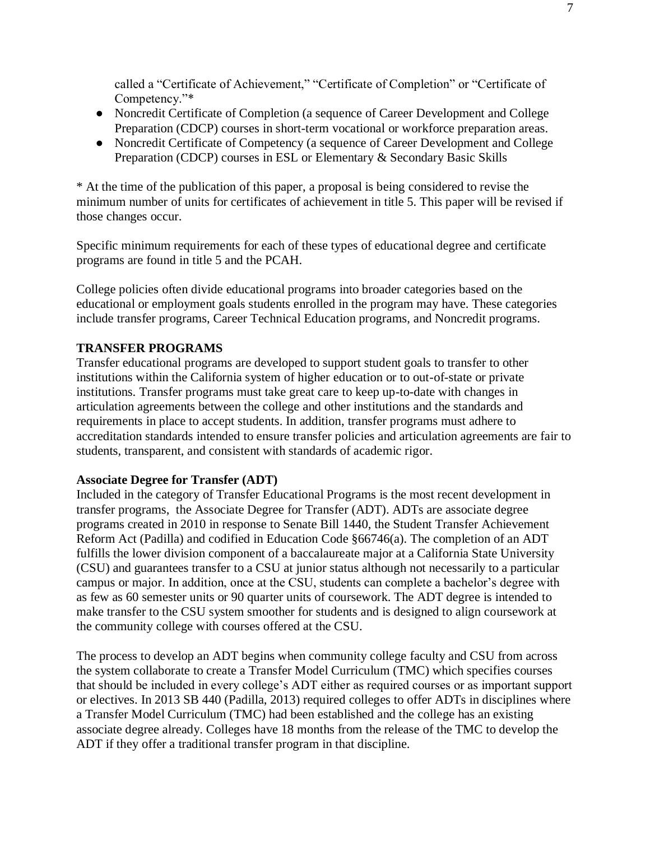called a "Certificate of Achievement," "Certificate of Completion" or "Certificate of Competency."\*

- Noncredit Certificate of Completion (a sequence of Career Development and College Preparation (CDCP) courses in short-term vocational or workforce preparation areas.
- Noncredit Certificate of Competency (a sequence of Career Development and College Preparation (CDCP) courses in ESL or Elementary & Secondary Basic Skills

\* At the time of the publication of this paper, a proposal is being considered to revise the minimum number of units for certificates of achievement in title 5. This paper will be revised if those changes occur.

Specific minimum requirements for each of these types of educational degree and certificate programs are found in title 5 and the PCAH.

College policies often divide educational programs into broader categories based on the educational or employment goals students enrolled in the program may have. These categories include transfer programs, Career Technical Education programs, and Noncredit programs.

## **TRANSFER PROGRAMS**

Transfer educational programs are developed to support student goals to transfer to other institutions within the California system of higher education or to out-of-state or private institutions. Transfer programs must take great care to keep up-to-date with changes in articulation agreements between the college and other institutions and the standards and requirements in place to accept students. In addition, transfer programs must adhere to accreditation standards intended to ensure transfer policies and articulation agreements are fair to students, transparent, and consistent with standards of academic rigor.

#### **Associate Degree for Transfer (ADT)**

Included in the category of Transfer Educational Programs is the most recent development in transfer programs, the Associate Degree for Transfer (ADT). ADTs are associate degree programs created in 2010 in response to Senate Bill 1440, the Student Transfer Achievement Reform Act (Padilla) and codified in Education Code §66746(a). The completion of an ADT fulfills the lower division component of a baccalaureate major at a California State University (CSU) and guarantees transfer to a CSU at junior status although not necessarily to a particular campus or major. In addition, once at the CSU, students can complete a bachelor's degree with as few as 60 semester units or 90 quarter units of coursework. The ADT degree is intended to make transfer to the CSU system smoother for students and is designed to align coursework at the community college with courses offered at the CSU.

The process to develop an ADT begins when community college faculty and CSU from across the system collaborate to create a Transfer Model Curriculum (TMC) which specifies courses that should be included in every college's ADT either as required courses or as important support or electives. In 2013 SB 440 (Padilla, 2013) required colleges to offer ADTs in disciplines where a Transfer Model Curriculum (TMC) had been established and the college has an existing associate degree already. Colleges have 18 months from the release of the TMC to develop the ADT if they offer a traditional transfer program in that discipline.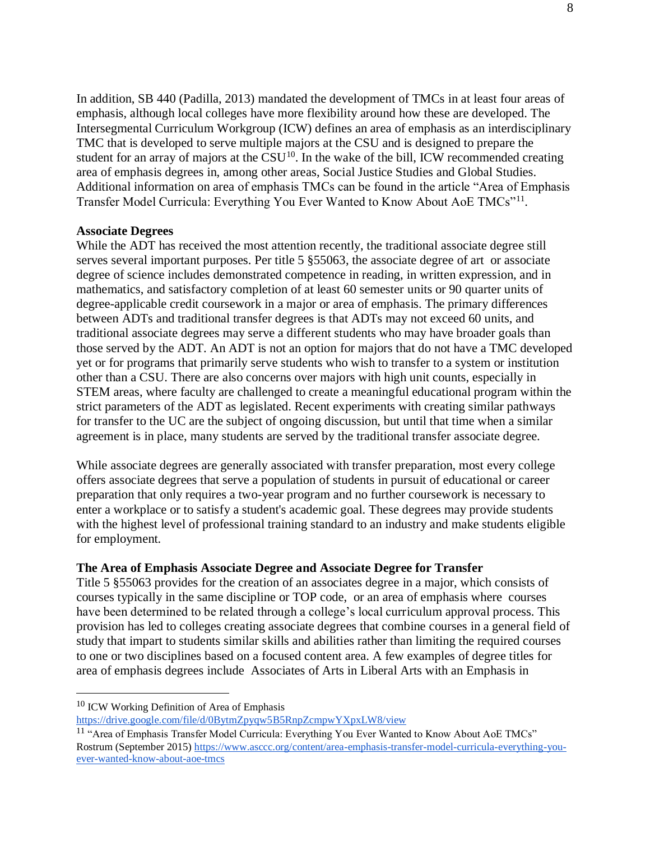In addition, SB 440 (Padilla, 2013) mandated the development of TMCs in at least four areas of emphasis, although local colleges have more flexibility around how these are developed. The Intersegmental Curriculum Workgroup (ICW) defines an area of emphasis as an interdisciplinary TMC that is developed to serve multiple majors at the CSU and is designed to prepare the student for an array of majors at the  $\frac{1}{\sqrt{N}}$ . In the wake of the bill, ICW recommended creating area of emphasis degrees in, among other areas, Social Justice Studies and Global Studies. Additional information on area of emphasis TMCs can be found in the article "Area of Emphasis Transfer Model Curricula: Everything You Ever Wanted to Know About AoE TMCs"<sup>11</sup>.

#### **Associate Degrees**

While the ADT has received the most attention recently, the traditional associate degree still serves several important purposes. Per title 5 §55063, the associate degree of art or associate degree of science includes demonstrated competence in reading, in written expression, and in mathematics, and satisfactory completion of at least 60 semester units or 90 quarter units of degree-applicable credit coursework in a major or area of emphasis. The primary differences between ADTs and traditional transfer degrees is that ADTs may not exceed 60 units, and traditional associate degrees may serve a different students who may have broader goals than those served by the ADT. An ADT is not an option for majors that do not have a TMC developed yet or for programs that primarily serve students who wish to transfer to a system or institution other than a CSU. There are also concerns over majors with high unit counts, especially in STEM areas, where faculty are challenged to create a meaningful educational program within the strict parameters of the ADT as legislated. Recent experiments with creating similar pathways for transfer to the UC are the subject of ongoing discussion, but until that time when a similar agreement is in place, many students are served by the traditional transfer associate degree.

While associate degrees are generally associated with transfer preparation, most every college offers associate degrees that serve a population of students in pursuit of educational or career preparation that only requires a two-year program and no further coursework is necessary to enter a workplace or to satisfy a student's academic goal. These degrees may provide students with the highest level of professional training standard to an industry and make students eligible for employment.

#### **The Area of Emphasis Associate Degree and Associate Degree for Transfer**

Title 5 §55063 provides for the creation of an associates degree in a major, which consists of courses typically in the same discipline or TOP code, or an area of emphasis where courses have been determined to be related through a college's local curriculum approval process. This provision has led to colleges creating associate degrees that combine courses in a general field of study that impart to students similar skills and abilities rather than limiting the required courses to one or two disciplines based on a focused content area. A few examples of degree titles for area of emphasis degrees include Associates of Arts in Liberal Arts with an Emphasis in

 $\overline{a}$ 

<sup>10</sup> ICW Working Definition of Area of Emphasis

<https://drive.google.com/file/d/0BytmZpyqw5B5RnpZcmpwYXpxLW8/view>

<sup>&</sup>lt;sup>11</sup> "Area of Emphasis Transfer Model Curricula: Everything You Ever Wanted to Know About AoE TMCs" Rostrum (September 2015) [https://www.asccc.org/content/area-emphasis-transfer-model-curricula-everything-you](https://www.asccc.org/content/area-emphasis-transfer-model-curricula-everything-you-ever-wanted-know-about-aoe-tmcs)[ever-wanted-know-about-aoe-tmcs](https://www.asccc.org/content/area-emphasis-transfer-model-curricula-everything-you-ever-wanted-know-about-aoe-tmcs)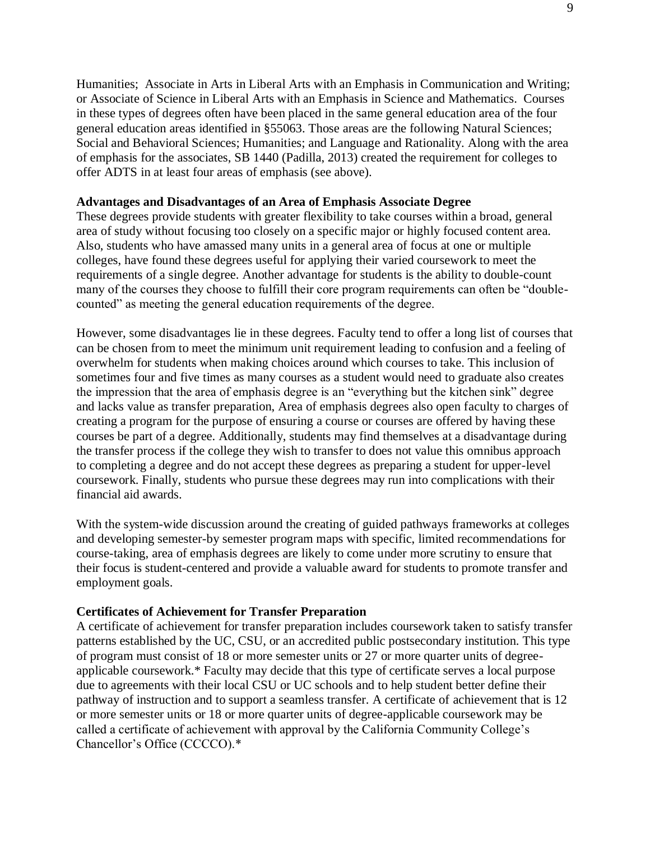Humanities; Associate in Arts in Liberal Arts with an Emphasis in Communication and Writing; or Associate of Science in Liberal Arts with an Emphasis in Science and Mathematics. Courses in these types of degrees often have been placed in the same general education area of the four general education areas identified in §55063. Those areas are the following Natural Sciences; Social and Behavioral Sciences; Humanities; and Language and Rationality. Along with the area of emphasis for the associates, SB 1440 (Padilla, 2013) created the requirement for colleges to offer ADTS in at least four areas of emphasis (see above).

#### **Advantages and Disadvantages of an Area of Emphasis Associate Degree**

These degrees provide students with greater flexibility to take courses within a broad, general area of study without focusing too closely on a specific major or highly focused content area. Also, students who have amassed many units in a general area of focus at one or multiple colleges, have found these degrees useful for applying their varied coursework to meet the requirements of a single degree. Another advantage for students is the ability to double-count many of the courses they choose to fulfill their core program requirements can often be "doublecounted" as meeting the general education requirements of the degree.

However, some disadvantages lie in these degrees. Faculty tend to offer a long list of courses that can be chosen from to meet the minimum unit requirement leading to confusion and a feeling of overwhelm for students when making choices around which courses to take. This inclusion of sometimes four and five times as many courses as a student would need to graduate also creates the impression that the area of emphasis degree is an "everything but the kitchen sink" degree and lacks value as transfer preparation, Area of emphasis degrees also open faculty to charges of creating a program for the purpose of ensuring a course or courses are offered by having these courses be part of a degree. Additionally, students may find themselves at a disadvantage during the transfer process if the college they wish to transfer to does not value this omnibus approach to completing a degree and do not accept these degrees as preparing a student for upper-level coursework. Finally, students who pursue these degrees may run into complications with their financial aid awards.

With the system-wide discussion around the creating of guided pathways frameworks at colleges and developing semester-by semester program maps with specific, limited recommendations for course-taking, area of emphasis degrees are likely to come under more scrutiny to ensure that their focus is student-centered and provide a valuable award for students to promote transfer and employment goals.

### **Certificates of Achievement for Transfer Preparation**

A certificate of achievement for transfer preparation includes coursework taken to satisfy transfer patterns established by the UC, CSU, or an accredited public postsecondary institution. This type of program must consist of 18 or more semester units or 27 or more quarter units of degreeapplicable coursework.\* Faculty may decide that this type of certificate serves a local purpose due to agreements with their local CSU or UC schools and to help student better define their pathway of instruction and to support a seamless transfer. A certificate of achievement that is 12 or more semester units or 18 or more quarter units of degree-applicable coursework may be called a certificate of achievement with approval by the California Community College's Chancellor's Office (CCCCO).\*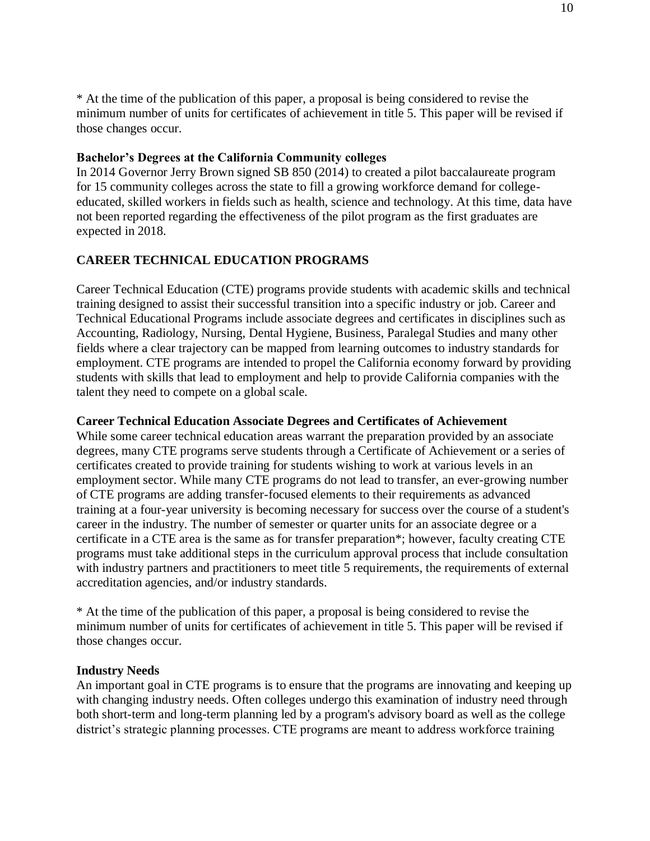\* At the time of the publication of this paper, a proposal is being considered to revise the minimum number of units for certificates of achievement in title 5. This paper will be revised if those changes occur.

## **Bachelor's Degrees at the California Community colleges**

In 2014 Governor Jerry Brown signed SB 850 (2014) to created a pilot baccalaureate program for 15 community colleges across the state to fill a growing workforce demand for collegeeducated, skilled workers in fields such as health, science and technology. At this time, data have not been reported regarding the effectiveness of the pilot program as the first graduates are expected in 2018.

## **CAREER TECHNICAL EDUCATION PROGRAMS**

Career Technical Education (CTE) programs provide students with academic skills and technical training designed to assist their successful transition into a specific industry or job. Career and Technical Educational Programs include associate degrees and certificates in disciplines such as Accounting, Radiology, Nursing, Dental Hygiene, Business, Paralegal Studies and many other fields where a clear trajectory can be mapped from learning outcomes to industry standards for employment. CTE programs are intended to propel the California economy forward by providing students with skills that lead to employment and help to provide California companies with the talent they need to compete on a global scale.

## **Career Technical Education Associate Degrees and Certificates of Achievement**

While some career technical education areas warrant the preparation provided by an associate degrees, many CTE programs serve students through a Certificate of Achievement or a series of certificates created to provide training for students wishing to work at various levels in an employment sector. While many CTE programs do not lead to transfer, an ever-growing number of CTE programs are adding transfer-focused elements to their requirements as advanced training at a four-year university is becoming necessary for success over the course of a student's career in the industry. The number of semester or quarter units for an associate degree or a certificate in a CTE area is the same as for transfer preparation\*; however, faculty creating CTE programs must take additional steps in the curriculum approval process that include consultation with industry partners and practitioners to meet title 5 requirements, the requirements of external accreditation agencies, and/or industry standards.

\* At the time of the publication of this paper, a proposal is being considered to revise the minimum number of units for certificates of achievement in title 5. This paper will be revised if those changes occur.

## **Industry Needs**

An important goal in CTE programs is to ensure that the programs are innovating and keeping up with changing industry needs. Often colleges undergo this examination of industry need through both short-term and long-term planning led by a program's advisory board as well as the college district's strategic planning processes. CTE programs are meant to address workforce training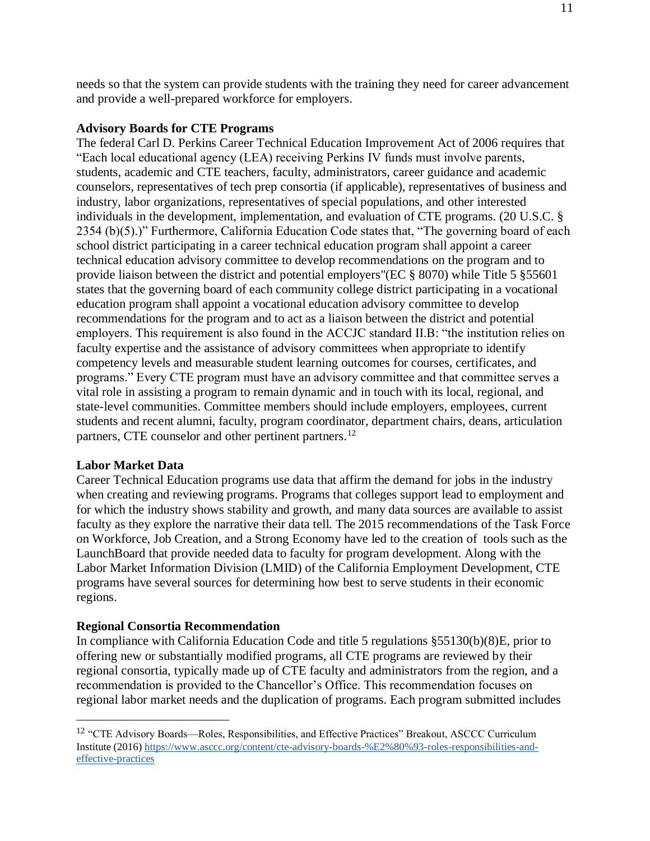needs so that the system can provide students with the training they need for career advancement and provide a well-prepared workforce for employers.

### **Advisory Boards for CTE Programs**

The federal Carl D. Perkins Career Technical Education Improvement Act of 2006 requires that "Each local educational agency (LEA) receiving Perkins IV funds must involve parents, students, academic and CTE teachers, faculty, administrators, career guidance and academic counselors, representatives of tech prep consortia (if applicable), representatives of business and industry, labor organizations, representatives of special populations, and other interested individuals in the development, implementation, and evaluation of CTE programs. (20 U.S.C. § 2354 (b)(5).)" Furthermore, California Education Code states that, "The governing board of each school district participating in a career technical education program shall appoint a career technical education advisory committee to develop recommendations on the program and to provide liaison between the district and potential employers"(EC § 8070) while Title 5 §55601 states that the governing board of each community college district participating in a vocational education program shall appoint a vocational education advisory committee to develop recommendations for the program and to act as a liaison between the district and potential employers. This requirement is also found in the ACCJC standard II.B: "the institution relies on faculty expertise and the assistance of advisory committees when appropriate to identify competency levels and measurable student learning outcomes for courses, certificates, and programs." Every CTE program must have an advisory committee and that committee serves a vital role in assisting a program to remain dynamic and in touch with its local, regional, and state-level communities. Committee members should include employers, employees, current students and recent alumni, faculty, program coordinator, department chairs, deans, articulation partners, CTE counselor and other pertinent partners.<sup>12</sup>

#### **Labor Market Data**

 $\overline{a}$ 

Career Technical Education programs use data that affirm the demand for jobs in the industry when creating and reviewing programs. Programs that colleges support lead to employment and for which the industry shows stability and growth, and many data sources are available to assist faculty as they explore the narrative their data tell. The 2015 recommendations of the Task Force on Workforce, Job Creation, and a Strong Economy have led to the creation of tools such as the LaunchBoard that provide needed data to faculty for program development. Along with the Labor Market Information Division (LMID) of the California Employment Development, CTE programs have several sources for determining how best to serve students in their economic regions.

#### **Regional Consortia Recommendation**

In compliance with California Education Code and title 5 regulations §55130(b)(8)E, prior to offering new or substantially modified programs, all CTE programs are reviewed by their regional consortia, typically made up of CTE faculty and administrators from the region, and a recommendation is provided to the Chancellor's Office. This recommendation focuses on regional labor market needs and the duplication of programs. Each program submitted includes

<sup>&</sup>lt;sup>12</sup> "CTE Advisory Boards—Roles, Responsibilities, and Effective Practices" Breakout, ASCCC Curriculum Institute (2016) [https://www.asccc.org/content/cte-advisory-boards-%E2%80%93-roles-responsibilities-and](https://www.asccc.org/content/cte-advisory-boards-%E2%80%93-roles-responsibilities-and-effective-practices)[effective-practices](https://www.asccc.org/content/cte-advisory-boards-%E2%80%93-roles-responsibilities-and-effective-practices)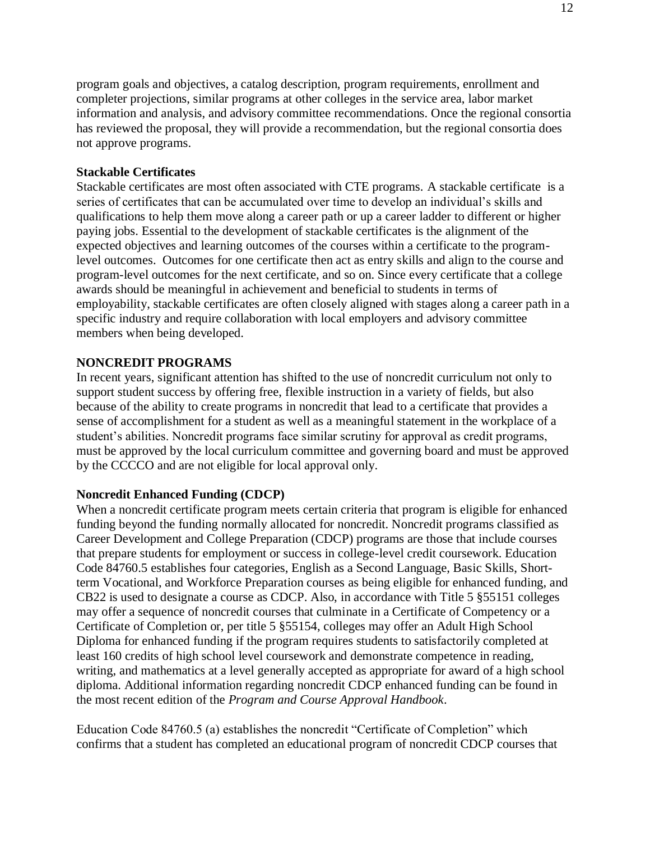program goals and objectives, a catalog description, program requirements, enrollment and completer projections, similar programs at other colleges in the service area, labor market information and analysis, and advisory committee recommendations. Once the regional consortia has reviewed the proposal, they will provide a recommendation, but the regional consortia does not approve programs.

### **Stackable Certificates**

Stackable certificates are most often associated with CTE programs. A stackable certificate is a series of certificates that can be accumulated over time to develop an individual's skills and qualifications to help them move along a career path or up a career ladder to different or higher paying jobs. Essential to the development of stackable certificates is the alignment of the expected objectives and learning outcomes of the courses within a certificate to the programlevel outcomes. Outcomes for one certificate then act as entry skills and align to the course and program-level outcomes for the next certificate, and so on. Since every certificate that a college awards should be meaningful in achievement and beneficial to students in terms of employability, stackable certificates are often closely aligned with stages along a career path in a specific industry and require collaboration with local employers and advisory committee members when being developed.

### **NONCREDIT PROGRAMS**

In recent years, significant attention has shifted to the use of noncredit curriculum not only to support student success by offering free, flexible instruction in a variety of fields, but also because of the ability to create programs in noncredit that lead to a certificate that provides a sense of accomplishment for a student as well as a meaningful statement in the workplace of a student's abilities. Noncredit programs face similar scrutiny for approval as credit programs, must be approved by the local curriculum committee and governing board and must be approved by the CCCCO and are not eligible for local approval only.

#### **Noncredit Enhanced Funding (CDCP)**

When a noncredit certificate program meets certain criteria that program is eligible for enhanced funding beyond the funding normally allocated for noncredit. Noncredit programs classified as Career Development and College Preparation (CDCP) programs are those that include courses that prepare students for employment or success in college-level credit coursework. Education Code 84760.5 establishes four categories, English as a Second Language, Basic Skills, Shortterm Vocational, and Workforce Preparation courses as being eligible for enhanced funding, and CB22 is used to designate a course as CDCP. Also, in accordance with Title 5 §55151 colleges may offer a sequence of noncredit courses that culminate in a Certificate of Competency or a Certificate of Completion or, per title 5 §55154, colleges may offer an Adult High School Diploma for enhanced funding if the program requires students to satisfactorily completed at least 160 credits of high school level coursework and demonstrate competence in reading, writing, and mathematics at a level generally accepted as appropriate for award of a high school diploma. Additional information regarding noncredit CDCP enhanced funding can be found in the most recent edition of the *Program and Course Approval Handbook*.

Education Code 84760.5 (a) establishes the noncredit "Certificate of Completion" which confirms that a student has completed an educational program of noncredit CDCP courses that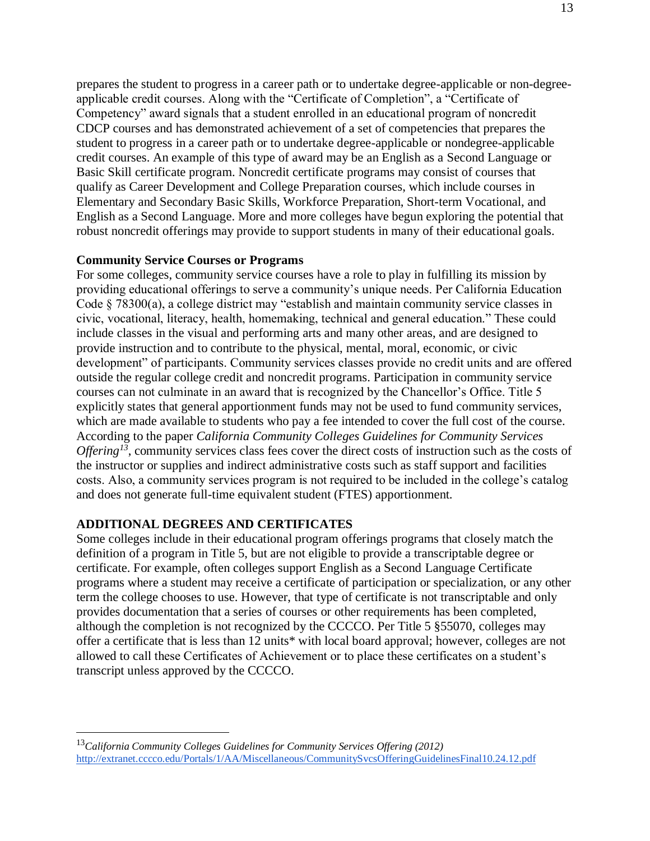prepares the student to progress in a career path or to undertake degree-applicable or non-degreeapplicable credit courses. Along with the "Certificate of Completion", a "Certificate of Competency" award signals that a student enrolled in an educational program of noncredit CDCP courses and has demonstrated achievement of a set of competencies that prepares the student to progress in a career path or to undertake degree-applicable or nondegree-applicable credit courses. An example of this type of award may be an English as a Second Language or Basic Skill certificate program. Noncredit certificate programs may consist of courses that qualify as Career Development and College Preparation courses, which include courses in Elementary and Secondary Basic Skills, Workforce Preparation, Short-term Vocational, and English as a Second Language. More and more colleges have begun exploring the potential that robust noncredit offerings may provide to support students in many of their educational goals.

### **Community Service Courses or Programs**

For some colleges, community service courses have a role to play in fulfilling its mission by providing educational offerings to serve a community's unique needs. Per California Education Code § 78300(a), a college district may "establish and maintain community service classes in civic, vocational, literacy, health, homemaking, technical and general education." These could include classes in the visual and performing arts and many other areas, and are designed to provide instruction and to contribute to the physical, mental, moral, economic, or civic development" of participants. Community services classes provide no credit units and are offered outside the regular college credit and noncredit programs. Participation in community service courses can not culminate in an award that is recognized by the Chancellor's Office. Title 5 explicitly states that general apportionment funds may not be used to fund community services, which are made available to students who pay a fee intended to cover the full cost of the course. According to the paper *California Community Colleges Guidelines for Community Services Offering*<sup>13</sup>, community services class fees cover the direct costs of instruction such as the costs of the instructor or supplies and indirect administrative costs such as staff support and facilities costs. Also, a community services program is not required to be included in the college's catalog and does not generate full-time equivalent student (FTES) apportionment.

## **ADDITIONAL DEGREES AND CERTIFICATES**

 $\overline{a}$ 

Some colleges include in their educational program offerings programs that closely match the definition of a program in Title 5, but are not eligible to provide a transcriptable degree or certificate. For example, often colleges support English as a Second Language Certificate programs where a student may receive a certificate of participation or specialization, or any other term the college chooses to use. However, that type of certificate is not transcriptable and only provides documentation that a series of courses or other requirements has been completed, although the completion is not recognized by the CCCCO. Per Title 5 §55070, colleges may offer a certificate that is less than 12 units\* with local board approval; however, colleges are not allowed to call these Certificates of Achievement or to place these certificates on a student's transcript unless approved by the CCCCO.

<sup>13</sup>*California Community Colleges Guidelines for Community Services Offering (2012)* <http://extranet.cccco.edu/Portals/1/AA/Miscellaneous/CommunitySvcsOfferingGuidelinesFinal10.24.12.pdf>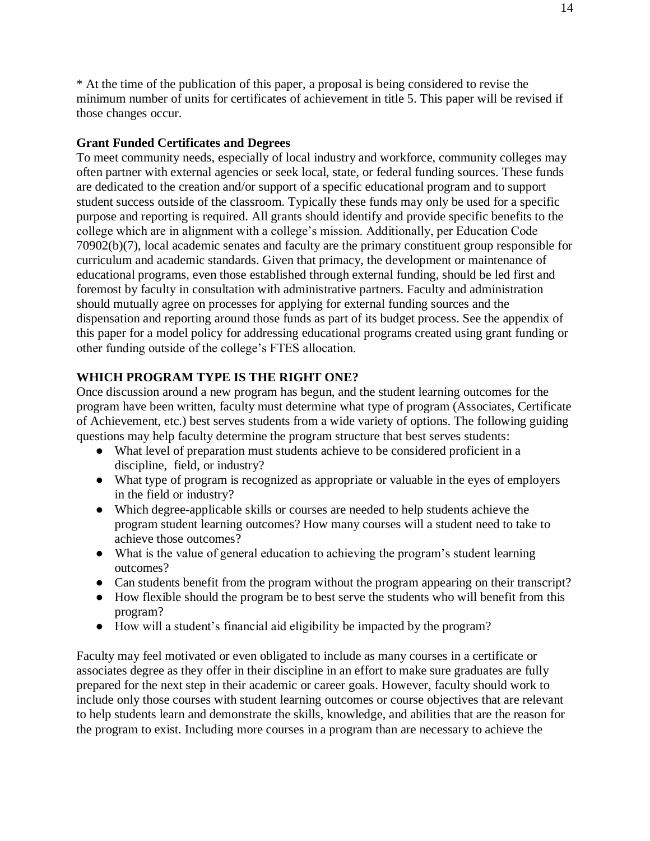\* At the time of the publication of this paper, a proposal is being considered to revise the minimum number of units for certificates of achievement in title 5. This paper will be revised if those changes occur.

## **Grant Funded Certificates and Degrees**

To meet community needs, especially of local industry and workforce, community colleges may often partner with external agencies or seek local, state, or federal funding sources. These funds are dedicated to the creation and/or support of a specific educational program and to support student success outside of the classroom. Typically these funds may only be used for a specific purpose and reporting is required. All grants should identify and provide specific benefits to the college which are in alignment with a college's mission. Additionally, per Education Code 70902(b)(7), local academic senates and faculty are the primary constituent group responsible for curriculum and academic standards. Given that primacy, the development or maintenance of educational programs, even those established through external funding, should be led first and foremost by faculty in consultation with administrative partners. Faculty and administration should mutually agree on processes for applying for external funding sources and the dispensation and reporting around those funds as part of its budget process. See the appendix of this paper for a model policy for addressing educational programs created using grant funding or other funding outside of the college's FTES allocation.

## **WHICH PROGRAM TYPE IS THE RIGHT ONE?**

Once discussion around a new program has begun, and the student learning outcomes for the program have been written, faculty must determine what type of program (Associates, Certificate of Achievement, etc.) best serves students from a wide variety of options. The following guiding questions may help faculty determine the program structure that best serves students:

- What level of preparation must students achieve to be considered proficient in a discipline, field, or industry?
- What type of program is recognized as appropriate or valuable in the eyes of employers in the field or industry?
- Which degree-applicable skills or courses are needed to help students achieve the program student learning outcomes? How many courses will a student need to take to achieve those outcomes?
- What is the value of general education to achieving the program's student learning outcomes?
- Can students benefit from the program without the program appearing on their transcript?
- How flexible should the program be to best serve the students who will benefit from this program?
- How will a student's financial aid eligibility be impacted by the program?

Faculty may feel motivated or even obligated to include as many courses in a certificate or associates degree as they offer in their discipline in an effort to make sure graduates are fully prepared for the next step in their academic or career goals. However, faculty should work to include only those courses with student learning outcomes or course objectives that are relevant to help students learn and demonstrate the skills, knowledge, and abilities that are the reason for the program to exist. Including more courses in a program than are necessary to achieve the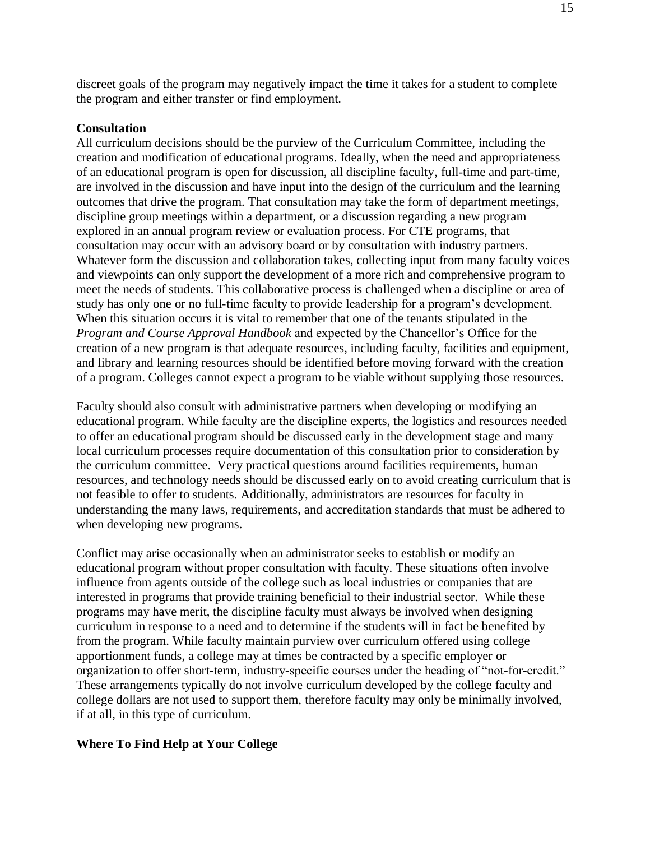discreet goals of the program may negatively impact the time it takes for a student to complete the program and either transfer or find employment.

#### **Consultation**

All curriculum decisions should be the purview of the Curriculum Committee, including the creation and modification of educational programs. Ideally, when the need and appropriateness of an educational program is open for discussion, all discipline faculty, full-time and part-time, are involved in the discussion and have input into the design of the curriculum and the learning outcomes that drive the program. That consultation may take the form of department meetings, discipline group meetings within a department, or a discussion regarding a new program explored in an annual program review or evaluation process. For CTE programs, that consultation may occur with an advisory board or by consultation with industry partners. Whatever form the discussion and collaboration takes, collecting input from many faculty voices and viewpoints can only support the development of a more rich and comprehensive program to meet the needs of students. This collaborative process is challenged when a discipline or area of study has only one or no full-time faculty to provide leadership for a program's development. When this situation occurs it is vital to remember that one of the tenants stipulated in the *Program and Course Approval Handbook* and expected by the Chancellor's Office for the creation of a new program is that adequate resources, including faculty, facilities and equipment, and library and learning resources should be identified before moving forward with the creation of a program. Colleges cannot expect a program to be viable without supplying those resources.

Faculty should also consult with administrative partners when developing or modifying an educational program. While faculty are the discipline experts, the logistics and resources needed to offer an educational program should be discussed early in the development stage and many local curriculum processes require documentation of this consultation prior to consideration by the curriculum committee. Very practical questions around facilities requirements, human resources, and technology needs should be discussed early on to avoid creating curriculum that is not feasible to offer to students. Additionally, administrators are resources for faculty in understanding the many laws, requirements, and accreditation standards that must be adhered to when developing new programs.

Conflict may arise occasionally when an administrator seeks to establish or modify an educational program without proper consultation with faculty. These situations often involve influence from agents outside of the college such as local industries or companies that are interested in programs that provide training beneficial to their industrial sector. While these programs may have merit, the discipline faculty must always be involved when designing curriculum in response to a need and to determine if the students will in fact be benefited by from the program. While faculty maintain purview over curriculum offered using college apportionment funds, a college may at times be contracted by a specific employer or organization to offer short-term, industry-specific courses under the heading of "not-for-credit." These arrangements typically do not involve curriculum developed by the college faculty and college dollars are not used to support them, therefore faculty may only be minimally involved, if at all, in this type of curriculum.

#### **Where To Find Help at Your College**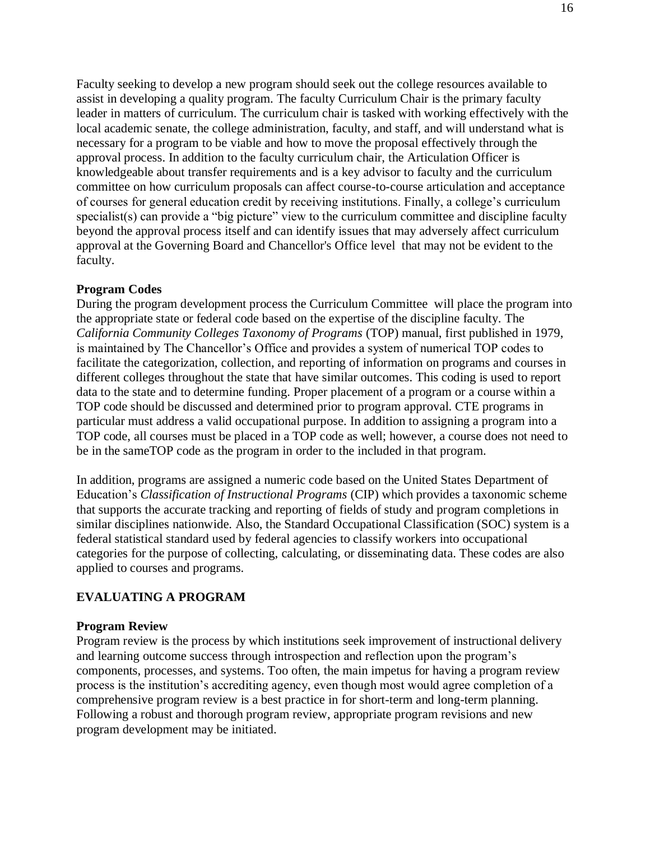Faculty seeking to develop a new program should seek out the college resources available to assist in developing a quality program. The faculty Curriculum Chair is the primary faculty leader in matters of curriculum. The curriculum chair is tasked with working effectively with the local academic senate, the college administration, faculty, and staff, and will understand what is necessary for a program to be viable and how to move the proposal effectively through the approval process. In addition to the faculty curriculum chair, the Articulation Officer is knowledgeable about transfer requirements and is a key advisor to faculty and the curriculum committee on how curriculum proposals can affect course-to-course articulation and acceptance of courses for general education credit by receiving institutions. Finally, a college's curriculum specialist(s) can provide a "big picture" view to the curriculum committee and discipline faculty beyond the approval process itself and can identify issues that may adversely affect curriculum approval at the Governing Board and Chancellor's Office level that may not be evident to the faculty.

#### **Program Codes**

During the program development process the Curriculum Committee will place the program into the appropriate state or federal code based on the expertise of the discipline faculty. The *California Community Colleges Taxonomy of Programs* (TOP) manual, first published in 1979, is maintained by The Chancellor's Office and provides a system of numerical TOP codes to facilitate the categorization, collection, and reporting of information on programs and courses in different colleges throughout the state that have similar outcomes. This coding is used to report data to the state and to determine funding. Proper placement of a program or a course within a TOP code should be discussed and determined prior to program approval. CTE programs in particular must address a valid occupational purpose. In addition to assigning a program into a TOP code, all courses must be placed in a TOP code as well; however, a course does not need to be in the sameTOP code as the program in order to the included in that program.

In addition, programs are assigned a numeric code based on the United States Department of Education's *Classification of Instructional Programs* (CIP) which provides a taxonomic scheme that supports the accurate tracking and reporting of fields of study and program completions in similar disciplines nationwide. Also, the Standard Occupational Classification (SOC) system is a federal statistical standard used by federal agencies to classify workers into occupational categories for the purpose of collecting, calculating, or disseminating data. These codes are also applied to courses and programs.

#### **EVALUATING A PROGRAM**

#### **Program Review**

Program review is the process by which institutions seek improvement of instructional delivery and learning outcome success through introspection and reflection upon the program's components, processes, and systems. Too often, the main impetus for having a program review process is the institution's accrediting agency, even though most would agree completion of a comprehensive program review is a best practice in for short-term and long-term planning. Following a robust and thorough program review, appropriate program revisions and new program development may be initiated.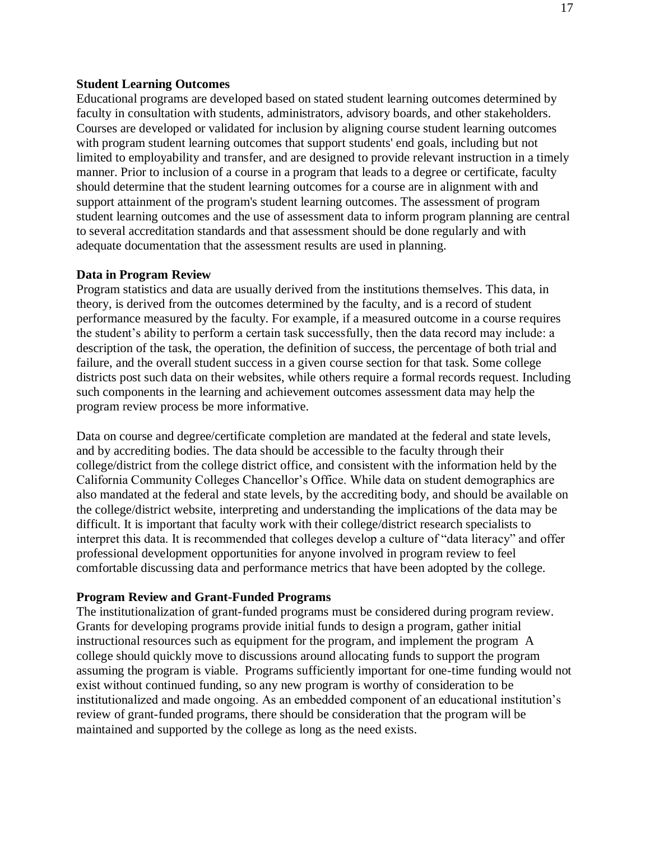#### **Student Learning Outcomes**

Educational programs are developed based on stated student learning outcomes determined by faculty in consultation with students, administrators, advisory boards, and other stakeholders. Courses are developed or validated for inclusion by aligning course student learning outcomes with program student learning outcomes that support students' end goals, including but not limited to employability and transfer, and are designed to provide relevant instruction in a timely manner. Prior to inclusion of a course in a program that leads to a degree or certificate, faculty should determine that the student learning outcomes for a course are in alignment with and support attainment of the program's student learning outcomes. The assessment of program student learning outcomes and the use of assessment data to inform program planning are central to several accreditation standards and that assessment should be done regularly and with adequate documentation that the assessment results are used in planning.

#### **Data in Program Review**

Program statistics and data are usually derived from the institutions themselves. This data, in theory, is derived from the outcomes determined by the faculty, and is a record of student performance measured by the faculty. For example, if a measured outcome in a course requires the student's ability to perform a certain task successfully, then the data record may include: a description of the task, the operation, the definition of success, the percentage of both trial and failure, and the overall student success in a given course section for that task. Some college districts post such data on their websites, while others require a formal records request. Including such components in the learning and achievement outcomes assessment data may help the program review process be more informative.

Data on course and degree/certificate completion are mandated at the federal and state levels, and by accrediting bodies. The data should be accessible to the faculty through their college/district from the college district office, and consistent with the information held by the California Community Colleges Chancellor's Office. While data on student demographics are also mandated at the federal and state levels, by the accrediting body, and should be available on the college/district website, interpreting and understanding the implications of the data may be difficult. It is important that faculty work with their college/district research specialists to interpret this data. It is recommended that colleges develop a culture of "data literacy" and offer professional development opportunities for anyone involved in program review to feel comfortable discussing data and performance metrics that have been adopted by the college.

#### **Program Review and Grant-Funded Programs**

The institutionalization of grant-funded programs must be considered during program review. Grants for developing programs provide initial funds to design a program, gather initial instructional resources such as equipment for the program, and implement the program A college should quickly move to discussions around allocating funds to support the program assuming the program is viable. Programs sufficiently important for one-time funding would not exist without continued funding, so any new program is worthy of consideration to be institutionalized and made ongoing. As an embedded component of an educational institution's review of grant-funded programs, there should be consideration that the program will be maintained and supported by the college as long as the need exists.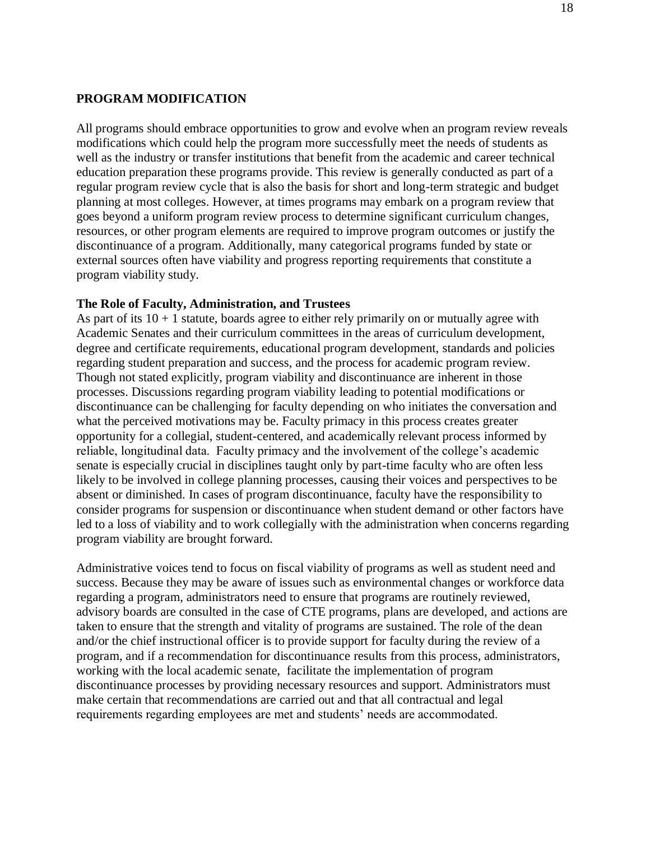### **PROGRAM MODIFICATION**

All programs should embrace opportunities to grow and evolve when an program review reveals modifications which could help the program more successfully meet the needs of students as well as the industry or transfer institutions that benefit from the academic and career technical education preparation these programs provide. This review is generally conducted as part of a regular program review cycle that is also the basis for short and long-term strategic and budget planning at most colleges. However, at times programs may embark on a program review that goes beyond a uniform program review process to determine significant curriculum changes, resources, or other program elements are required to improve program outcomes or justify the discontinuance of a program. Additionally, many categorical programs funded by state or external sources often have viability and progress reporting requirements that constitute a program viability study.

#### **The Role of Faculty, Administration, and Trustees**

As part of its  $10 + 1$  statute, boards agree to either rely primarily on or mutually agree with Academic Senates and their curriculum committees in the areas of curriculum development, degree and certificate requirements, educational program development, standards and policies regarding student preparation and success, and the process for academic program review. Though not stated explicitly, program viability and discontinuance are inherent in those processes. Discussions regarding program viability leading to potential modifications or discontinuance can be challenging for faculty depending on who initiates the conversation and what the perceived motivations may be. Faculty primacy in this process creates greater opportunity for a collegial, student-centered, and academically relevant process informed by reliable, longitudinal data. Faculty primacy and the involvement of the college's academic senate is especially crucial in disciplines taught only by part-time faculty who are often less likely to be involved in college planning processes, causing their voices and perspectives to be absent or diminished. In cases of program discontinuance, faculty have the responsibility to consider programs for suspension or discontinuance when student demand or other factors have led to a loss of viability and to work collegially with the administration when concerns regarding program viability are brought forward.

Administrative voices tend to focus on fiscal viability of programs as well as student need and success. Because they may be aware of issues such as environmental changes or workforce data regarding a program, administrators need to ensure that programs are routinely reviewed, advisory boards are consulted in the case of CTE programs, plans are developed, and actions are taken to ensure that the strength and vitality of programs are sustained. The role of the dean and/or the chief instructional officer is to provide support for faculty during the review of a program, and if a recommendation for discontinuance results from this process, administrators, working with the local academic senate, facilitate the implementation of program discontinuance processes by providing necessary resources and support. Administrators must make certain that recommendations are carried out and that all contractual and legal requirements regarding employees are met and students' needs are accommodated.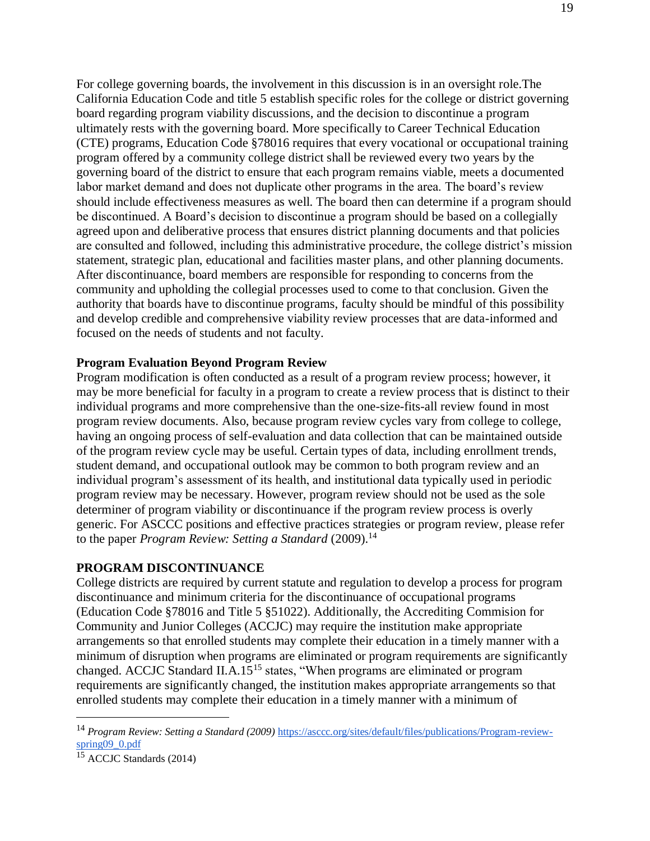For college governing boards, the involvement in this discussion is in an oversight role.The California Education Code and title 5 establish specific roles for the college or district governing board regarding program viability discussions, and the decision to discontinue a program ultimately rests with the governing board. More specifically to Career Technical Education (CTE) programs, Education Code §78016 requires that every vocational or occupational training program offered by a community college district shall be reviewed every two years by the governing board of the district to ensure that each program remains viable, meets a documented labor market demand and does not duplicate other programs in the area. The board's review should include effectiveness measures as well. The board then can determine if a program should be discontinued. A Board's decision to discontinue a program should be based on a collegially agreed upon and deliberative process that ensures district planning documents and that policies are consulted and followed, including this administrative procedure, the college district's mission statement, strategic plan, educational and facilities master plans, and other planning documents. After discontinuance, board members are responsible for responding to concerns from the community and upholding the collegial processes used to come to that conclusion. Given the authority that boards have to discontinue programs, faculty should be mindful of this possibility and develop credible and comprehensive viability review processes that are data-informed and focused on the needs of students and not faculty.

### **Program Evaluation Beyond Program Review**

Program modification is often conducted as a result of a program review process; however, it may be more beneficial for faculty in a program to create a review process that is distinct to their individual programs and more comprehensive than the one-size-fits-all review found in most program review documents. Also, because program review cycles vary from college to college, having an ongoing process of self-evaluation and data collection that can be maintained outside of the program review cycle may be useful. Certain types of data, including enrollment trends, student demand, and occupational outlook may be common to both program review and an individual program's assessment of its health, and institutional data typically used in periodic program review may be necessary. However, program review should not be used as the sole determiner of program viability or discontinuance if the program review process is overly generic. For ASCCC positions and effective practices strategies or program review, please refer to the paper *Program Review: Setting a Standard* (2009).<sup>14</sup>

#### **PROGRAM DISCONTINUANCE**

College districts are required by current statute and regulation to develop a process for program discontinuance and minimum criteria for the discontinuance of occupational programs (Education Code §78016 and Title 5 §51022). Additionally, the Accrediting Commision for Community and Junior Colleges (ACCJC) may require the institution make appropriate arrangements so that enrolled students may complete their education in a timely manner with a minimum of disruption when programs are eliminated or program requirements are significantly changed. ACCJC Standard II.A.15<sup>15</sup> states, "When programs are eliminated or program requirements are significantly changed, the institution makes appropriate arrangements so that enrolled students may complete their education in a timely manner with a minimum of

 $\overline{a}$ 

<sup>14</sup> *Program Review: Setting a Standard (2009)* [https://asccc.org/sites/default/files/publications/Program-review](https://asccc.org/sites/default/files/publications/Program-review-spring09_0.pdf)[spring09\\_0.pdf](https://asccc.org/sites/default/files/publications/Program-review-spring09_0.pdf)

<sup>&</sup>lt;sup>15</sup> ACCJC Standards (2014)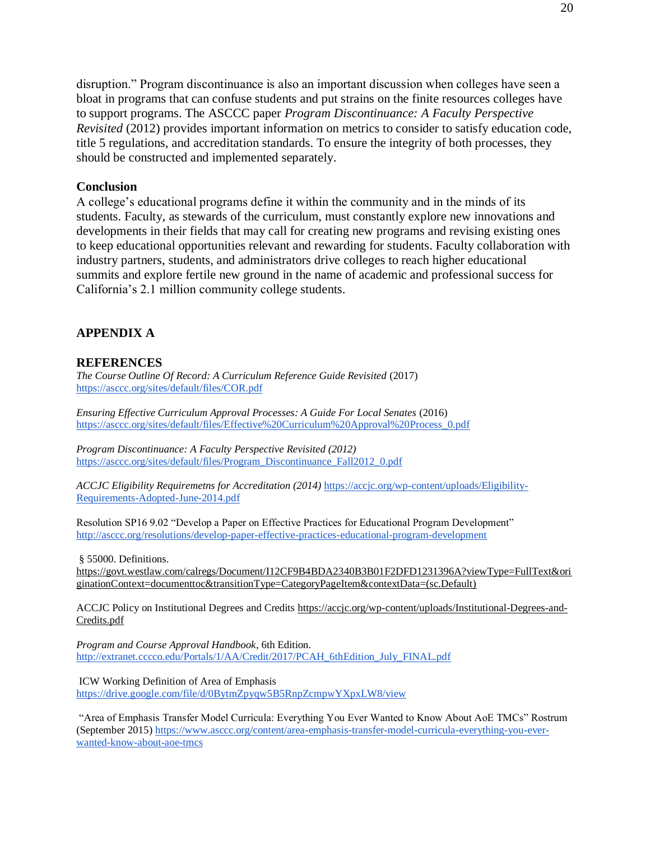disruption." Program discontinuance is also an important discussion when colleges have seen a bloat in programs that can confuse students and put strains on the finite resources colleges have to support programs. The ASCCC paper *Program Discontinuance: A Faculty Perspective Revisited* (2012) provides important information on metrics to consider to satisfy education code, title 5 regulations, and accreditation standards. To ensure the integrity of both processes, they should be constructed and implemented separately.

#### **Conclusion**

A college's educational programs define it within the community and in the minds of its students. Faculty, as stewards of the curriculum, must constantly explore new innovations and developments in their fields that may call for creating new programs and revising existing ones to keep educational opportunities relevant and rewarding for students. Faculty collaboration with industry partners, students, and administrators drive colleges to reach higher educational summits and explore fertile new ground in the name of academic and professional success for California's 2.1 million community college students.

### **APPENDIX A**

#### **REFERENCES**

*The Course Outline Of Record: A Curriculum Reference Guide Revisited* (2017) <https://asccc.org/sites/default/files/COR.pdf>

*Ensuring Effective Curriculum Approval Processes: A Guide For Local Senates* (2016) [https://asccc.org/sites/default/files/Effective%20Curriculum%20Approval%20Process\\_0.pdf](https://asccc.org/sites/default/files/Effective%20Curriculum%20Approval%20Process_0.pdf)

*Program Discontinuance: A Faculty Perspective Revisited (2012)*  [https://asccc.org/sites/default/files/Program\\_Discontinuance\\_Fall2012\\_0.pdf](https://asccc.org/sites/default/files/Program_Discontinuance_Fall2012_0.pdf)

*ACCJC Eligibility Requiremetns for Accreditation (2014)* [https://accjc.org/wp-content/uploads/Eligibility-](https://accjc.org/wp-content/uploads/Eligibility-Requirements-Adopted-June-2014.pdf)[Requirements-Adopted-June-2014.pdf](https://accjc.org/wp-content/uploads/Eligibility-Requirements-Adopted-June-2014.pdf)

Resolution SP16 9.02 "Develop a Paper on Effective Practices for Educational Program Development" <http://asccc.org/resolutions/develop-paper-effective-practices-educational-program-development>

§ 55000. Definitions.

[https://govt.westlaw.com/calregs/Document/I12CF9B4BDA2340B3B01F2DFD1231396A?viewType=FullText&ori](https://govt.westlaw.com/calregs/Document/I12CF9B4BDA2340B3B01F2DFD1231396A?viewType=FullText&originationContext=documenttoc&transitionType=CategoryPageItem&contextData=(sc.Default)) [ginationContext=documenttoc&transitionType=CategoryPageItem&contextData=\(sc.Default\)](https://govt.westlaw.com/calregs/Document/I12CF9B4BDA2340B3B01F2DFD1231396A?viewType=FullText&originationContext=documenttoc&transitionType=CategoryPageItem&contextData=(sc.Default)) 

ACCJC Policy on Institutional Degrees and Credits [https://accjc.org/wp-content/uploads/Institutional-Degrees-and-](https://accjc.org/wp-content/uploads/Institutional-Degrees-and-Credits.pdf)[Credits.pdf](https://accjc.org/wp-content/uploads/Institutional-Degrees-and-Credits.pdf)

*Program and Course Approval Handbook*, 6th Edition. [http://extranet.cccco.edu/Portals/1/AA/Credit/2017/PCAH\\_6thEdition\\_July\\_FINAL.pdf](http://extranet.cccco.edu/Portals/1/AA/Credit/2017/PCAH_6thEdition_July_FINAL.pdf)

ICW Working Definition of Area of Emphasis <https://drive.google.com/file/d/0BytmZpyqw5B5RnpZcmpwYXpxLW8/view>

"Area of Emphasis Transfer Model Curricula: Everything You Ever Wanted to Know About AoE TMCs" Rostrum (September 2015) [https://www.asccc.org/content/area-emphasis-transfer-model-curricula-everything-you-ever](https://www.asccc.org/content/area-emphasis-transfer-model-curricula-everything-you-ever-wanted-know-about-aoe-tmcs)[wanted-know-about-aoe-tmcs](https://www.asccc.org/content/area-emphasis-transfer-model-curricula-everything-you-ever-wanted-know-about-aoe-tmcs)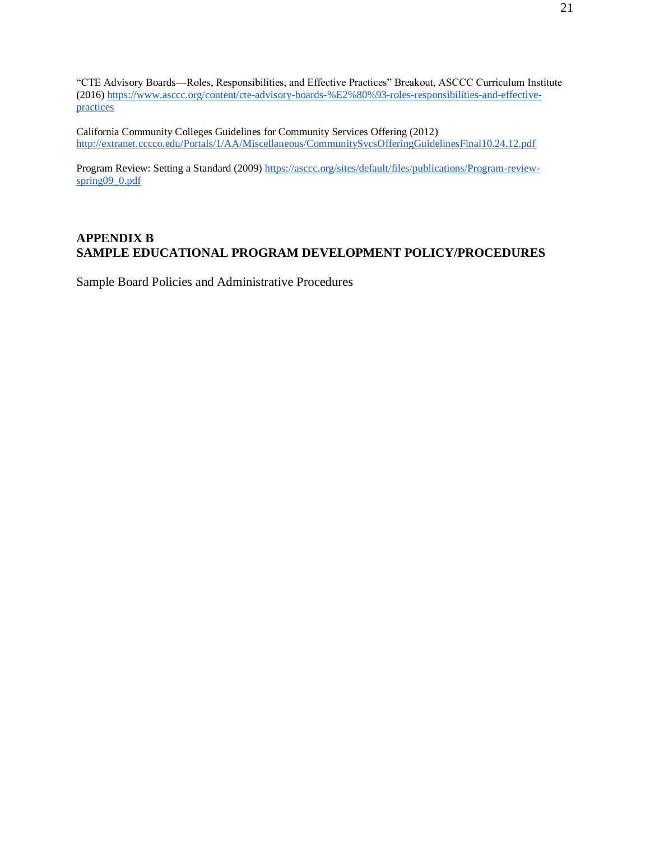"CTE Advisory Boards—Roles, Responsibilities, and Effective Practices" Breakout, ASCCC Curriculum Institute (2016) [https://www.asccc.org/content/cte-advisory-boards-%E2%80%93-roles-responsibilities-and-effective](https://www.asccc.org/content/cte-advisory-boards-%E2%80%93-roles-responsibilities-and-effective-practices)[practices](https://www.asccc.org/content/cte-advisory-boards-%E2%80%93-roles-responsibilities-and-effective-practices)

California Community Colleges Guidelines for Community Services Offering (2012) <http://extranet.cccco.edu/Portals/1/AA/Miscellaneous/CommunitySvcsOfferingGuidelinesFinal10.24.12.pdf>

Program Review: Setting a Standard (2009) [https://asccc.org/sites/default/files/publications/Program-review](https://asccc.org/sites/default/files/publications/Program-review-spring09_0.pdf)spring09\_0.pdf

## **APPENDIX B SAMPLE EDUCATIONAL PROGRAM DEVELOPMENT POLICY/PROCEDURES**

Sample Board Policies and Administrative Procedures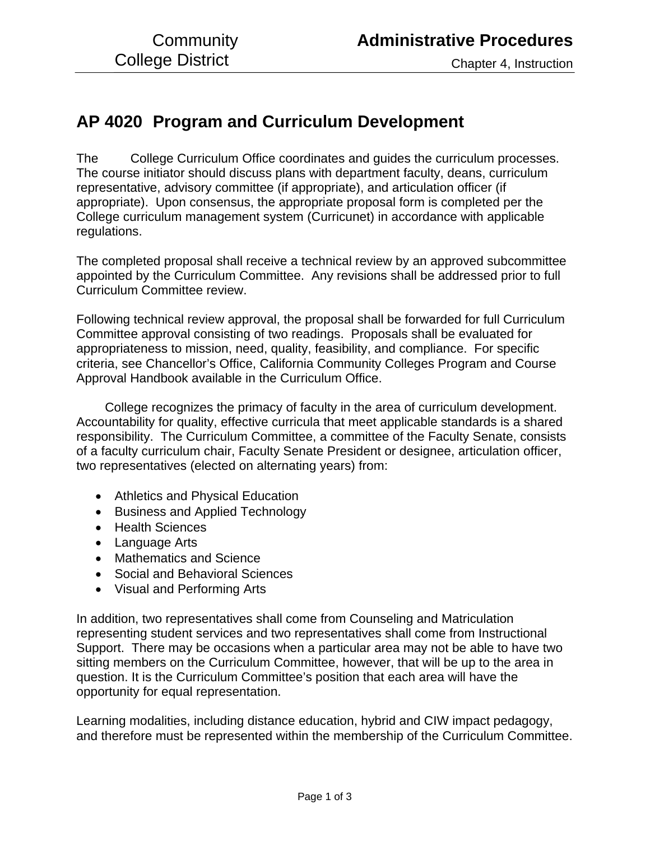# **AP 4020 Program and Curriculum Development**

The College Curriculum Office coordinates and guides the curriculum processes. The course initiator should discuss plans with department faculty, deans, curriculum representative, advisory committee (if appropriate), and articulation officer (if appropriate). Upon consensus, the appropriate proposal form is completed per the College curriculum management system (Curricunet) in accordance with applicable regulations.

The completed proposal shall receive a technical review by an approved subcommittee appointed by the Curriculum Committee. Any revisions shall be addressed prior to full Curriculum Committee review.

Following technical review approval, the proposal shall be forwarded for full Curriculum Committee approval consisting of two readings. Proposals shall be evaluated for appropriateness to mission, need, quality, feasibility, and compliance. For specific criteria, see Chancellor's Office, California Community Colleges Program and Course Approval Handbook available in the Curriculum Office.

 College recognizes the primacy of faculty in the area of curriculum development. Accountability for quality, effective curricula that meet applicable standards is a shared responsibility. The Curriculum Committee, a committee of the Faculty Senate, consists of a faculty curriculum chair, Faculty Senate President or designee, articulation officer, two representatives (elected on alternating years) from:

- Athletics and Physical Education
- Business and Applied Technology
- Health Sciences
- Language Arts
- Mathematics and Science
- Social and Behavioral Sciences
- Visual and Performing Arts

In addition, two representatives shall come from Counseling and Matriculation representing student services and two representatives shall come from Instructional Support. There may be occasions when a particular area may not be able to have two sitting members on the Curriculum Committee, however, that will be up to the area in question. It is the Curriculum Committee's position that each area will have the opportunity for equal representation.

Learning modalities, including distance education, hybrid and CIW impact pedagogy, and therefore must be represented within the membership of the Curriculum Committee.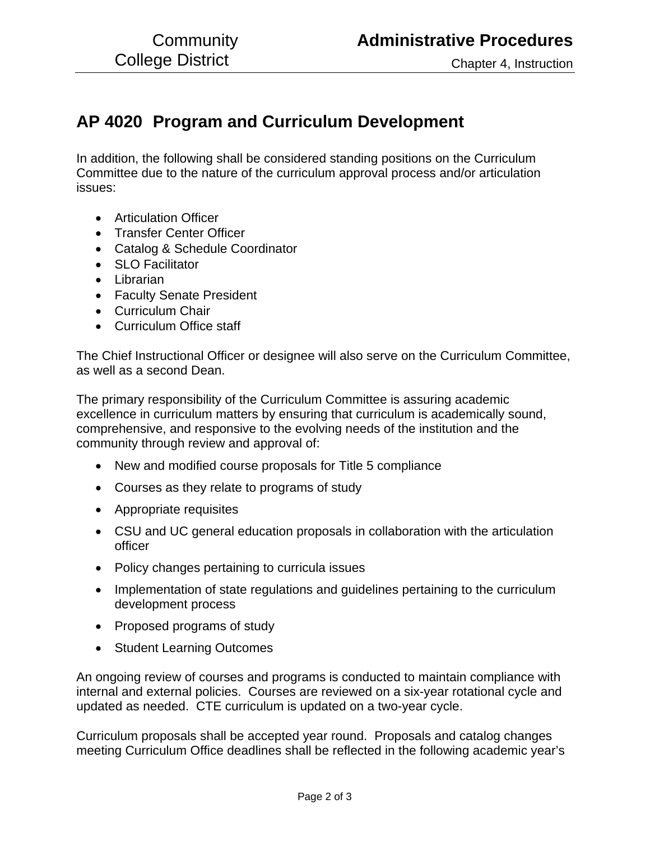# **AP 4020 Program and Curriculum Development**

In addition, the following shall be considered standing positions on the Curriculum Committee due to the nature of the curriculum approval process and/or articulation issues:

- Articulation Officer
- Transfer Center Officer
- Catalog & Schedule Coordinator
- SLO Facilitator
- Librarian
- Faculty Senate President
- Curriculum Chair
- Curriculum Office staff

The Chief Instructional Officer or designee will also serve on the Curriculum Committee, as well as a second Dean.

The primary responsibility of the Curriculum Committee is assuring academic excellence in curriculum matters by ensuring that curriculum is academically sound, comprehensive, and responsive to the evolving needs of the institution and the community through review and approval of:

- New and modified course proposals for Title 5 compliance
- Courses as they relate to programs of study
- Appropriate requisites
- CSU and UC general education proposals in collaboration with the articulation officer
- Policy changes pertaining to curricula issues
- Implementation of state regulations and guidelines pertaining to the curriculum development process
- Proposed programs of study
- Student Learning Outcomes

An ongoing review of courses and programs is conducted to maintain compliance with internal and external policies. Courses are reviewed on a six-year rotational cycle and updated as needed. CTE curriculum is updated on a two-year cycle.

Curriculum proposals shall be accepted year round. Proposals and catalog changes meeting Curriculum Office deadlines shall be reflected in the following academic year's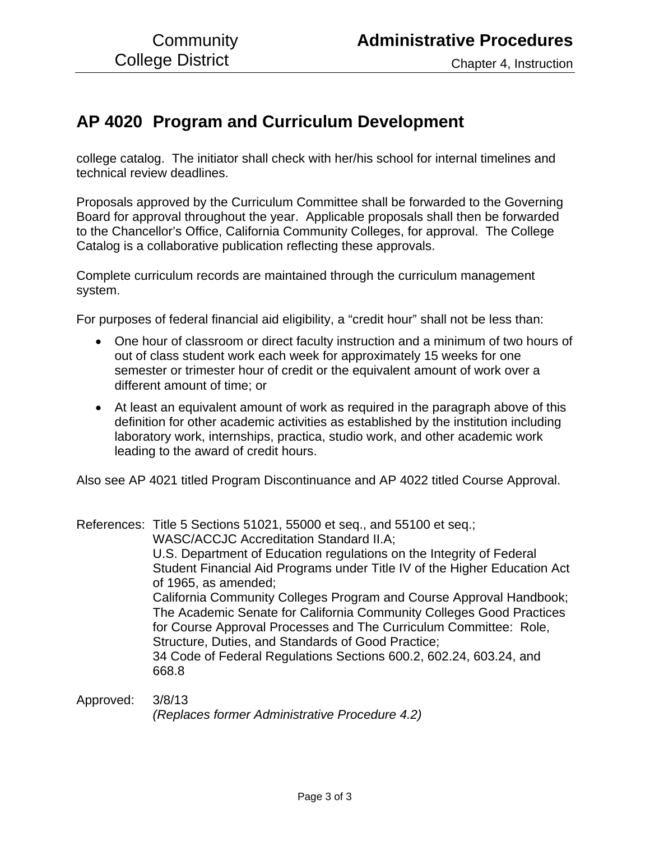# **AP 4020 Program and Curriculum Development**

college catalog. The initiator shall check with her/his school for internal timelines and technical review deadlines.

Proposals approved by the Curriculum Committee shall be forwarded to the Governing Board for approval throughout the year. Applicable proposals shall then be forwarded to the Chancellor's Office, California Community Colleges, for approval. The College Catalog is a collaborative publication reflecting these approvals.

Complete curriculum records are maintained through the curriculum management system.

For purposes of federal financial aid eligibility, a "credit hour" shall not be less than:

- One hour of classroom or direct faculty instruction and a minimum of two hours of out of class student work each week for approximately 15 weeks for one semester or trimester hour of credit or the equivalent amount of work over a different amount of time; or
- At least an equivalent amount of work as required in the paragraph above of this definition for other academic activities as established by the institution including laboratory work, internships, practica, studio work, and other academic work leading to the award of credit hours.

Also see AP 4021 titled Program Discontinuance and AP 4022 titled Course Approval.

References: Title 5 Sections 51021, 55000 et seq., and 55100 et seq.; WASC/ACCJC Accreditation Standard II.A; U.S. Department of Education regulations on the Integrity of Federal Student Financial Aid Programs under Title IV of the Higher Education Act of 1965, as amended; California Community Colleges Program and Course Approval Handbook; The Academic Senate for California Community Colleges Good Practices for Course Approval Processes and The Curriculum Committee: Role, Structure, Duties, and Standards of Good Practice; 34 Code of Federal Regulations Sections 600.2, 602.24, 603.24, and 668.8

Approved: 3/8/13 *(Replaces former Administrative Procedure 4.2)*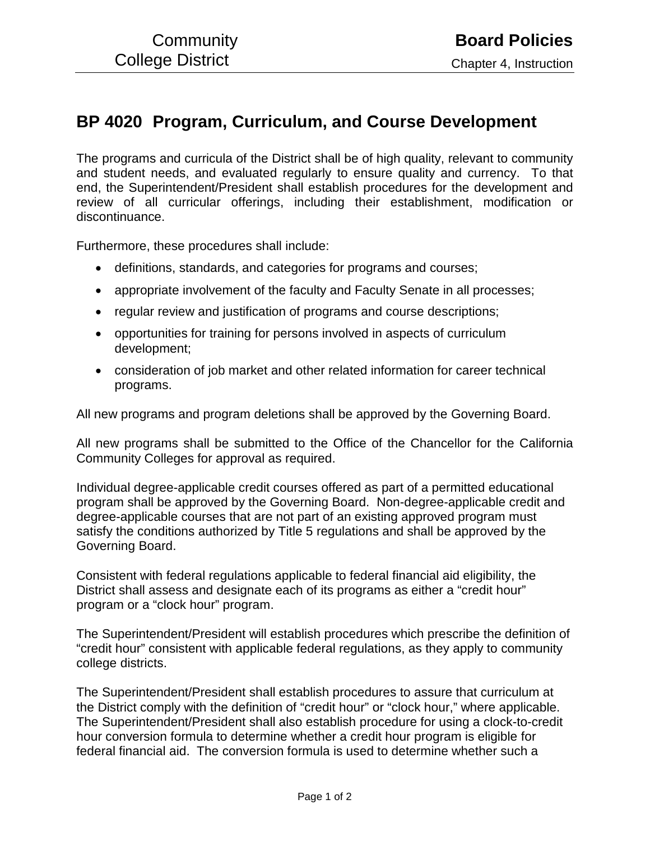# **BP 4020 Program, Curriculum, and Course Development**

The programs and curricula of the District shall be of high quality, relevant to community and student needs, and evaluated regularly to ensure quality and currency. To that end, the Superintendent/President shall establish procedures for the development and review of all curricular offerings, including their establishment, modification or discontinuance.

Furthermore, these procedures shall include:

- definitions, standards, and categories for programs and courses;
- appropriate involvement of the faculty and Faculty Senate in all processes;
- regular review and justification of programs and course descriptions;
- opportunities for training for persons involved in aspects of curriculum development;
- consideration of job market and other related information for career technical programs.

All new programs and program deletions shall be approved by the Governing Board.

All new programs shall be submitted to the Office of the Chancellor for the California Community Colleges for approval as required.

Individual degree-applicable credit courses offered as part of a permitted educational program shall be approved by the Governing Board. Non-degree-applicable credit and degree-applicable courses that are not part of an existing approved program must satisfy the conditions authorized by Title 5 regulations and shall be approved by the Governing Board.

Consistent with federal regulations applicable to federal financial aid eligibility, the District shall assess and designate each of its programs as either a "credit hour" program or a "clock hour" program.

The Superintendent/President will establish procedures which prescribe the definition of "credit hour" consistent with applicable federal regulations, as they apply to community college districts.

The Superintendent/President shall establish procedures to assure that curriculum at the District comply with the definition of "credit hour" or "clock hour," where applicable. The Superintendent/President shall also establish procedure for using a clock-to-credit hour conversion formula to determine whether a credit hour program is eligible for federal financial aid. The conversion formula is used to determine whether such a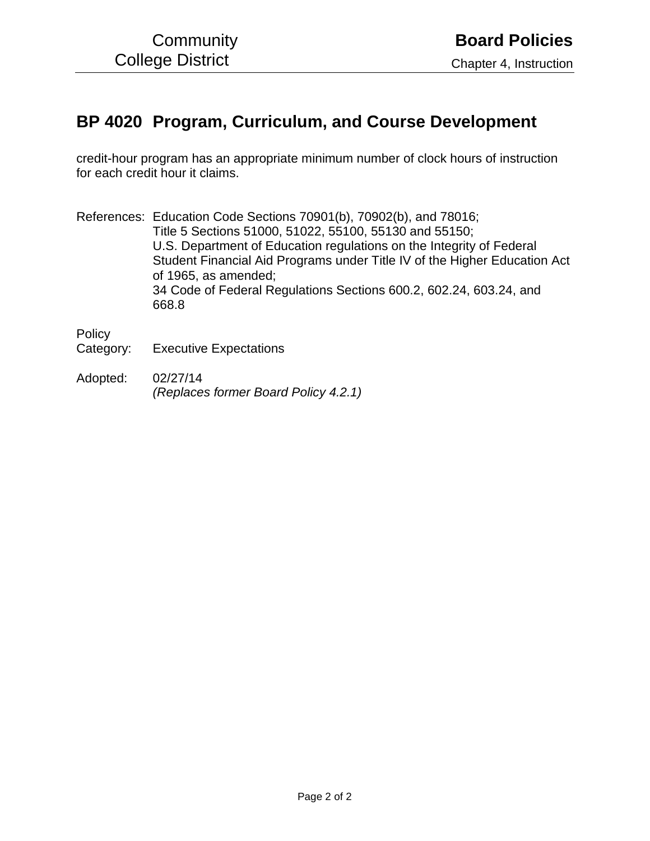# **BP 4020 Program, Curriculum, and Course Development**

credit-hour program has an appropriate minimum number of clock hours of instruction for each credit hour it claims.

References: Education Code Sections 70901(b), 70902(b), and 78016; Title 5 Sections 51000, 51022, 55100, 55130 and 55150; U.S. Department of Education regulations on the Integrity of Federal Student Financial Aid Programs under Title IV of the Higher Education Act of 1965, as amended; 34 Code of Federal Regulations Sections 600.2, 602.24, 603.24, and 668.8

**Policy** 

Category: Executive Expectations

Adopted: 02/27/14 *(Replaces former Board Policy 4.2.1)*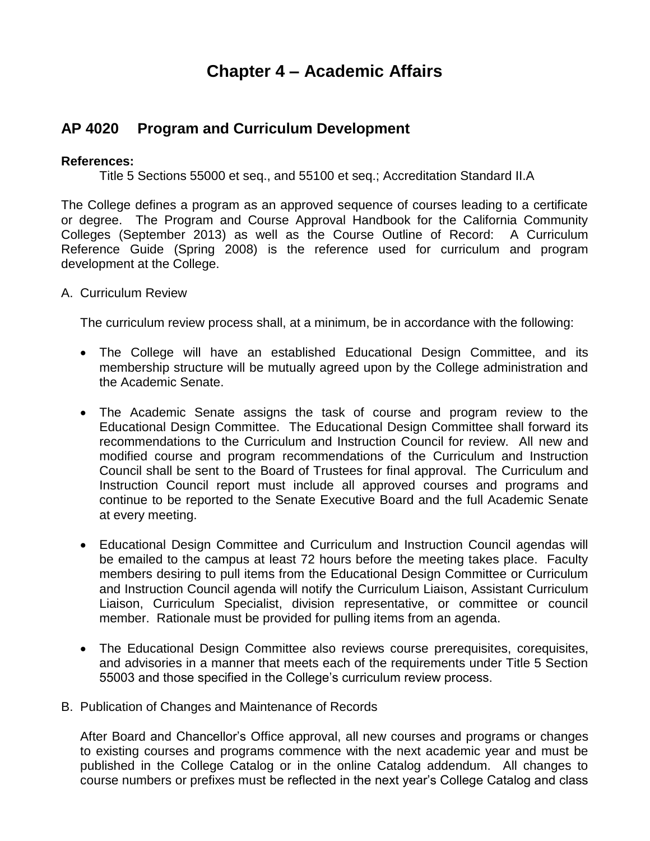# **Chapter 4 – Academic Affairs**

# **AP 4020 Program and Curriculum Development**

## **References:**

Title 5 Sections 55000 et seq., and 55100 et seq.; Accreditation Standard II.A

The College defines a program as an approved sequence of courses leading to a certificate or degree. The Program and Course Approval Handbook for the California Community Colleges (September 2013) as well as the Course Outline of Record: A Curriculum Reference Guide (Spring 2008) is the reference used for curriculum and program development at the College.

A. Curriculum Review

The curriculum review process shall, at a minimum, be in accordance with the following:

- The College will have an established Educational Design Committee, and its membership structure will be mutually agreed upon by the College administration and the Academic Senate.
- The Academic Senate assigns the task of course and program review to the Educational Design Committee. The Educational Design Committee shall forward its recommendations to the Curriculum and Instruction Council for review. All new and modified course and program recommendations of the Curriculum and Instruction Council shall be sent to the Board of Trustees for final approval. The Curriculum and Instruction Council report must include all approved courses and programs and continue to be reported to the Senate Executive Board and the full Academic Senate at every meeting.
- Educational Design Committee and Curriculum and Instruction Council agendas will be emailed to the campus at least 72 hours before the meeting takes place. Faculty members desiring to pull items from the Educational Design Committee or Curriculum and Instruction Council agenda will notify the Curriculum Liaison, Assistant Curriculum Liaison, Curriculum Specialist, division representative, or committee or council member. Rationale must be provided for pulling items from an agenda.
- The Educational Design Committee also reviews course prerequisites, corequisites, and advisories in a manner that meets each of the requirements under Title 5 Section 55003 and those specified in the College's curriculum review process.
- B. Publication of Changes and Maintenance of Records

After Board and Chancellor's Office approval, all new courses and programs or changes to existing courses and programs commence with the next academic year and must be published in the College Catalog or in the online Catalog addendum. All changes to course numbers or prefixes must be reflected in the next year's College Catalog and class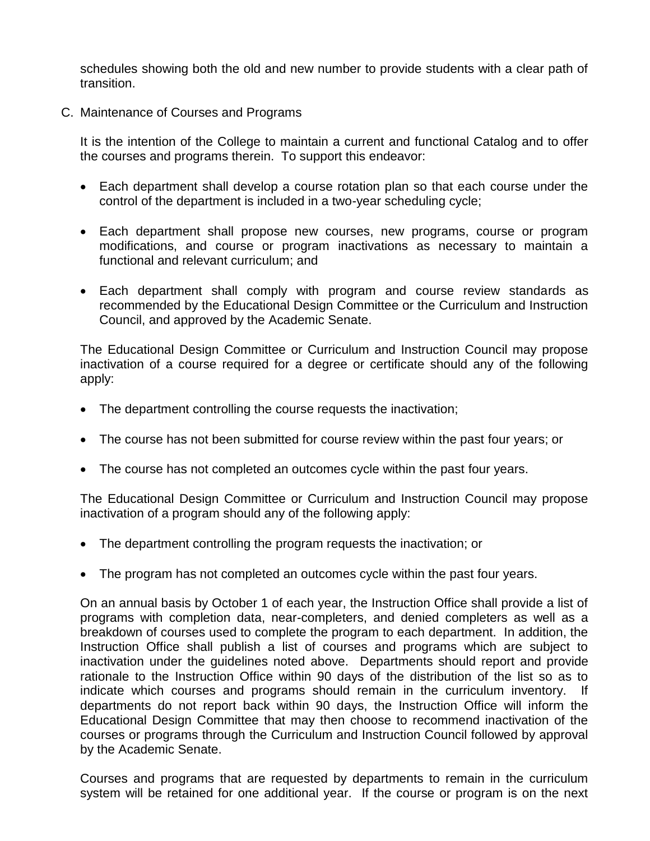schedules showing both the old and new number to provide students with a clear path of transition.

C. Maintenance of Courses and Programs

It is the intention of the College to maintain a current and functional Catalog and to offer the courses and programs therein. To support this endeavor:

- Each department shall develop a course rotation plan so that each course under the control of the department is included in a two-year scheduling cycle;
- Each department shall propose new courses, new programs, course or program modifications, and course or program inactivations as necessary to maintain a functional and relevant curriculum; and
- Each department shall comply with program and course review standards as recommended by the Educational Design Committee or the Curriculum and Instruction Council, and approved by the Academic Senate.

The Educational Design Committee or Curriculum and Instruction Council may propose inactivation of a course required for a degree or certificate should any of the following apply:

- The department controlling the course requests the inactivation;
- The course has not been submitted for course review within the past four years; or
- The course has not completed an outcomes cycle within the past four years.

The Educational Design Committee or Curriculum and Instruction Council may propose inactivation of a program should any of the following apply:

- The department controlling the program requests the inactivation; or
- The program has not completed an outcomes cycle within the past four years.

On an annual basis by October 1 of each year, the Instruction Office shall provide a list of programs with completion data, near-completers, and denied completers as well as a breakdown of courses used to complete the program to each department. In addition, the Instruction Office shall publish a list of courses and programs which are subject to inactivation under the guidelines noted above. Departments should report and provide rationale to the Instruction Office within 90 days of the distribution of the list so as to indicate which courses and programs should remain in the curriculum inventory. If departments do not report back within 90 days, the Instruction Office will inform the Educational Design Committee that may then choose to recommend inactivation of the courses or programs through the Curriculum and Instruction Council followed by approval by the Academic Senate.

Courses and programs that are requested by departments to remain in the curriculum system will be retained for one additional year. If the course or program is on the next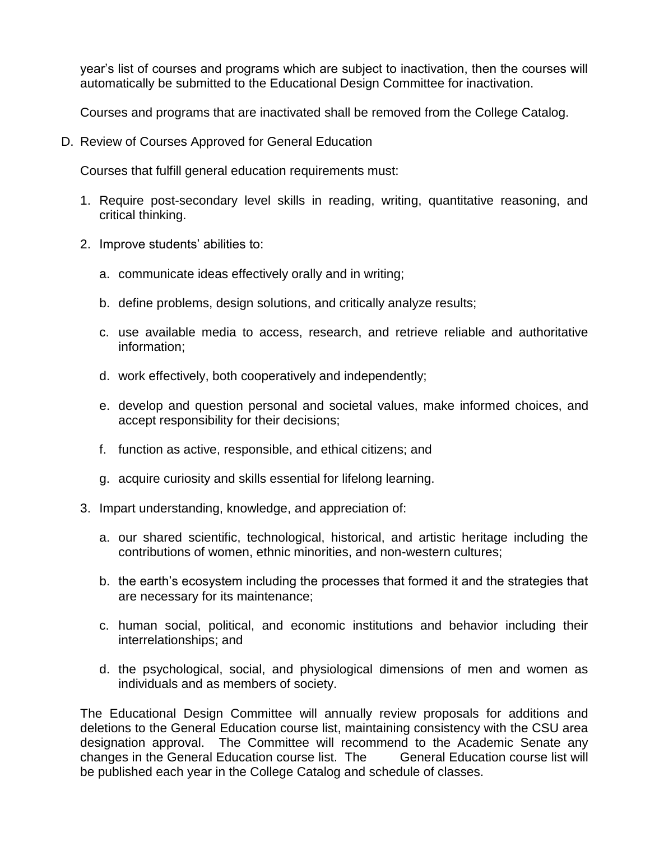year's list of courses and programs which are subject to inactivation, then the courses will automatically be submitted to the Educational Design Committee for inactivation.

Courses and programs that are inactivated shall be removed from the College Catalog.

D. Review of Courses Approved for General Education

Courses that fulfill general education requirements must:

- 1. Require post-secondary level skills in reading, writing, quantitative reasoning, and critical thinking.
- 2. Improve students' abilities to:
	- a. communicate ideas effectively orally and in writing;
	- b. define problems, design solutions, and critically analyze results;
	- c. use available media to access, research, and retrieve reliable and authoritative information;
	- d. work effectively, both cooperatively and independently;
	- e. develop and question personal and societal values, make informed choices, and accept responsibility for their decisions;
	- f. function as active, responsible, and ethical citizens; and
	- g. acquire curiosity and skills essential for lifelong learning.
- 3. Impart understanding, knowledge, and appreciation of:
	- a. our shared scientific, technological, historical, and artistic heritage including the contributions of women, ethnic minorities, and non-western cultures;
	- b. the earth's ecosystem including the processes that formed it and the strategies that are necessary for its maintenance;
	- c. human social, political, and economic institutions and behavior including their interrelationships; and
	- d. the psychological, social, and physiological dimensions of men and women as individuals and as members of society.

The Educational Design Committee will annually review proposals for additions and deletions to the General Education course list, maintaining consistency with the CSU area designation approval. The Committee will recommend to the Academic Senate any changes in the General Education course list. The General Education course list will be published each year in the College Catalog and schedule of classes.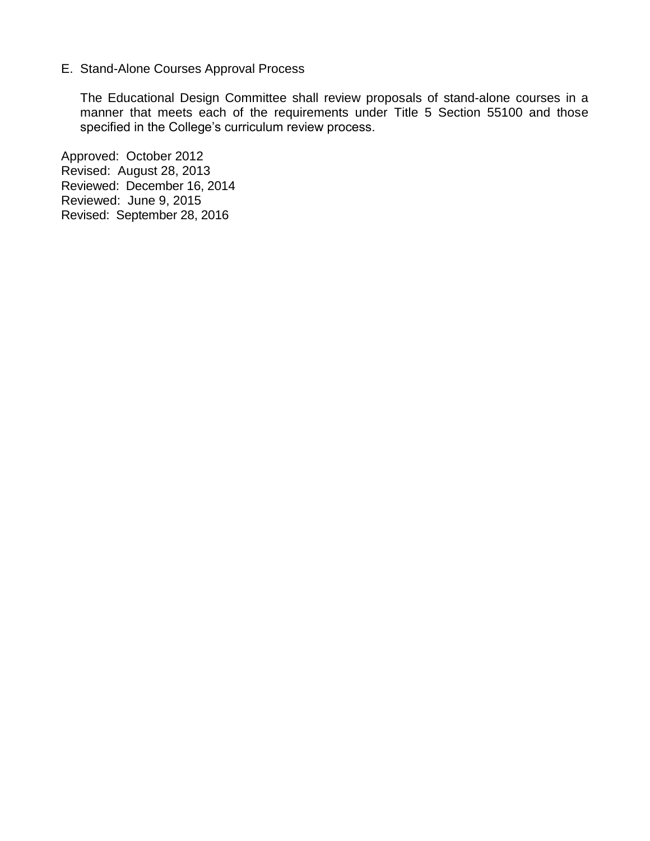## E. Stand-Alone Courses Approval Process

The Educational Design Committee shall review proposals of stand-alone courses in a manner that meets each of the requirements under Title 5 Section 55100 and those specified in the College's curriculum review process.

Approved: October 2012 Revised: August 28, 2013 Reviewed: December 16, 2014 Reviewed: June 9, 2015 Revised: September 28, 2016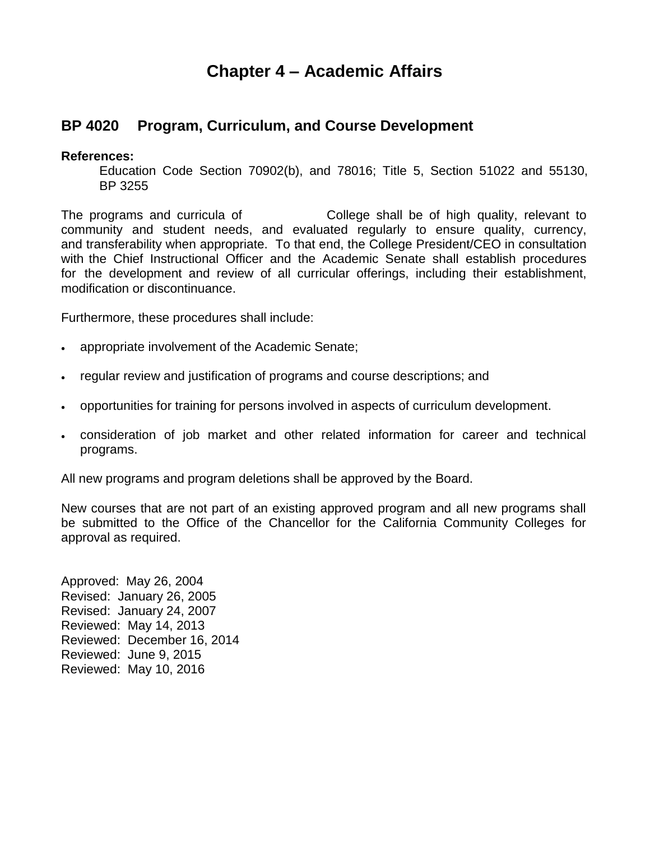# **Chapter 4 – Academic Affairs**

# **BP 4020 Program, Curriculum, and Course Development**

## **References:**

Education Code Section 70902(b), and 78016; Title 5, Section 51022 and 55130, BP 3255

The programs and curricula of College shall be of high quality, relevant to community and student needs, and evaluated regularly to ensure quality, currency, and transferability when appropriate. To that end, the College President/CEO in consultation with the Chief Instructional Officer and the Academic Senate shall establish procedures for the development and review of all curricular offerings, including their establishment, modification or discontinuance.

Furthermore, these procedures shall include:

- appropriate involvement of the Academic Senate;
- regular review and justification of programs and course descriptions; and
- opportunities for training for persons involved in aspects of curriculum development.
- consideration of job market and other related information for career and technical programs.

All new programs and program deletions shall be approved by the Board.

New courses that are not part of an existing approved program and all new programs shall be submitted to the Office of the Chancellor for the California Community Colleges for approval as required.

Approved: May 26, 2004 Revised: January 26, 2005 Revised: January 24, 2007 Reviewed: May 14, 2013 Reviewed: December 16, 2014 Reviewed: June 9, 2015 Reviewed: May 10, 2016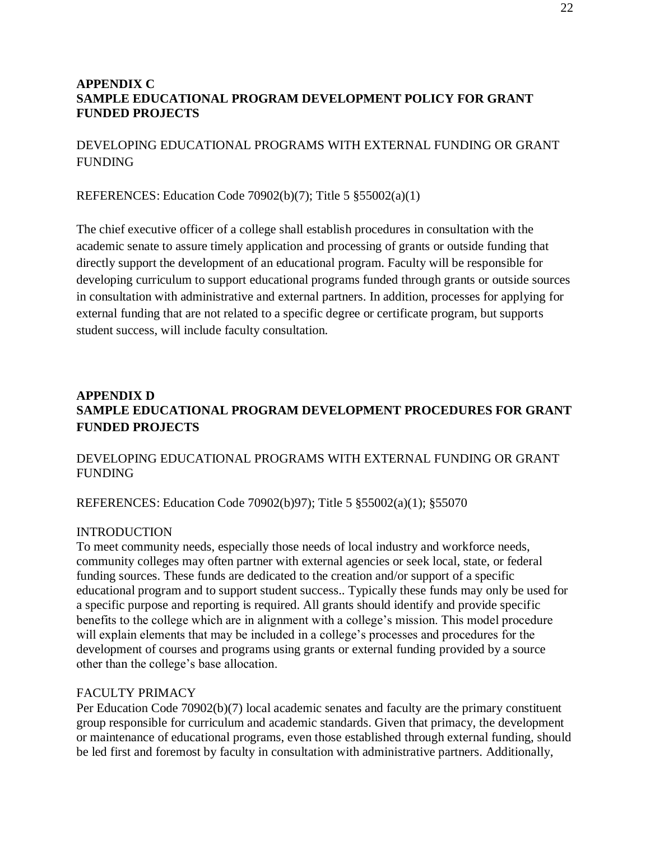## **APPENDIX C SAMPLE EDUCATIONAL PROGRAM DEVELOPMENT POLICY FOR GRANT FUNDED PROJECTS**

## DEVELOPING EDUCATIONAL PROGRAMS WITH EXTERNAL FUNDING OR GRANT FUNDING

REFERENCES: Education Code 70902(b)(7); Title 5 §55002(a)(1)

The chief executive officer of a college shall establish procedures in consultation with the academic senate to assure timely application and processing of grants or outside funding that directly support the development of an educational program. Faculty will be responsible for developing curriculum to support educational programs funded through grants or outside sources in consultation with administrative and external partners. In addition, processes for applying for external funding that are not related to a specific degree or certificate program, but supports student success, will include faculty consultation.

# **APPENDIX D SAMPLE EDUCATIONAL PROGRAM DEVELOPMENT PROCEDURES FOR GRANT FUNDED PROJECTS**

## DEVELOPING EDUCATIONAL PROGRAMS WITH EXTERNAL FUNDING OR GRANT FUNDING

REFERENCES: Education Code 70902(b)97); Title 5 §55002(a)(1); §55070

## INTRODUCTION

To meet community needs, especially those needs of local industry and workforce needs, community colleges may often partner with external agencies or seek local, state, or federal funding sources. These funds are dedicated to the creation and/or support of a specific educational program and to support student success.. Typically these funds may only be used for a specific purpose and reporting is required. All grants should identify and provide specific benefits to the college which are in alignment with a college's mission. This model procedure will explain elements that may be included in a college's processes and procedures for the development of courses and programs using grants or external funding provided by a source other than the college's base allocation.

#### FACULTY PRIMACY

Per Education Code 70902(b)(7) local academic senates and faculty are the primary constituent group responsible for curriculum and academic standards. Given that primacy, the development or maintenance of educational programs, even those established through external funding, should be led first and foremost by faculty in consultation with administrative partners. Additionally,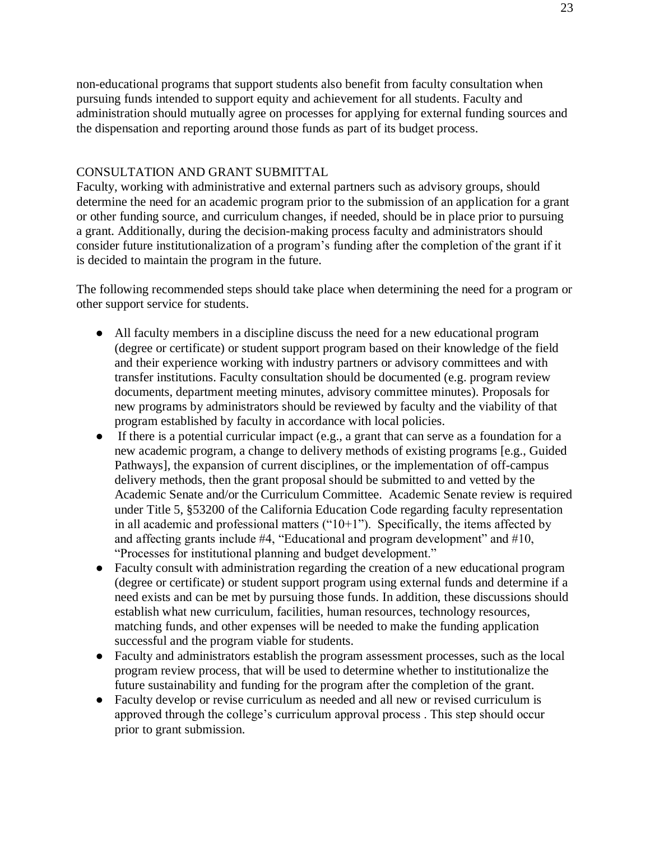non-educational programs that support students also benefit from faculty consultation when pursuing funds intended to support equity and achievement for all students. Faculty and administration should mutually agree on processes for applying for external funding sources and the dispensation and reporting around those funds as part of its budget process.

#### CONSULTATION AND GRANT SUBMITTAL

Faculty, working with administrative and external partners such as advisory groups, should determine the need for an academic program prior to the submission of an application for a grant or other funding source, and curriculum changes, if needed, should be in place prior to pursuing a grant. Additionally, during the decision-making process faculty and administrators should consider future institutionalization of a program's funding after the completion of the grant if it is decided to maintain the program in the future.

The following recommended steps should take place when determining the need for a program or other support service for students.

- All faculty members in a discipline discuss the need for a new educational program (degree or certificate) or student support program based on their knowledge of the field and their experience working with industry partners or advisory committees and with transfer institutions. Faculty consultation should be documented (e.g. program review documents, department meeting minutes, advisory committee minutes). Proposals for new programs by administrators should be reviewed by faculty and the viability of that program established by faculty in accordance with local policies.
- If there is a potential curricular impact (e.g., a grant that can serve as a foundation for a new academic program, a change to delivery methods of existing programs [e.g., Guided Pathways], the expansion of current disciplines, or the implementation of off-campus delivery methods, then the grant proposal should be submitted to and vetted by the Academic Senate and/or the Curriculum Committee. Academic Senate review is required under Title 5, §53200 of the California Education Code regarding faculty representation in all academic and professional matters  $("10+1")$ . Specifically, the items affected by and affecting grants include #4, "Educational and program development" and #10, "Processes for institutional planning and budget development."
- Faculty consult with administration regarding the creation of a new educational program (degree or certificate) or student support program using external funds and determine if a need exists and can be met by pursuing those funds. In addition, these discussions should establish what new curriculum, facilities, human resources, technology resources, matching funds, and other expenses will be needed to make the funding application successful and the program viable for students.
- Faculty and administrators establish the program assessment processes, such as the local program review process, that will be used to determine whether to institutionalize the future sustainability and funding for the program after the completion of the grant.
- Faculty develop or revise curriculum as needed and all new or revised curriculum is approved through the college's curriculum approval process . This step should occur prior to grant submission.